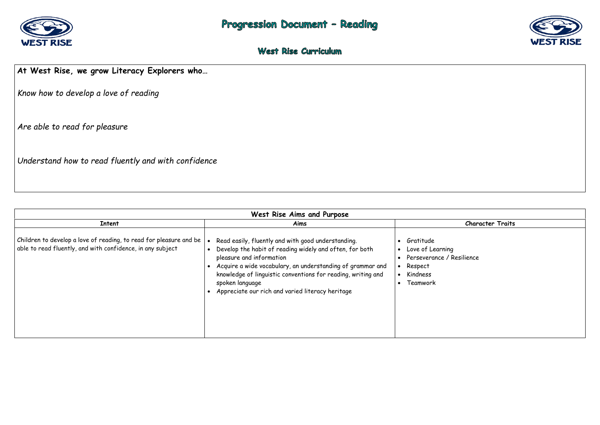

## West Rise Curriculum

# **At West Rise, we grow Literacy Explorers who…**

*Know how to develop a love of reading* 

*Are able to read for pleasure* 

*Understand how to read fluently and with confidence* 

| West Rise Aims and Purpose                                                                                                       |                                                                                                                                                                                                                                                                                                                                                |                                                                                       |  |
|----------------------------------------------------------------------------------------------------------------------------------|------------------------------------------------------------------------------------------------------------------------------------------------------------------------------------------------------------------------------------------------------------------------------------------------------------------------------------------------|---------------------------------------------------------------------------------------|--|
| <b>Intent</b>                                                                                                                    | Aims                                                                                                                                                                                                                                                                                                                                           |                                                                                       |  |
| Children to develop a love of reading, to read for pleasure and be<br>able to read fluently, and with confidence, in any subject | Read easily, fluently and with good understanding.<br>Develop the habit of reading widely and often, for both<br>pleasure and information<br>Acquire a wide vocabulary, an understanding of grammar and<br>knowledge of linguistic conventions for reading, writing and<br>spoken language<br>Appreciate our rich and varied literacy heritage | Gratitude<br>Love of Learning<br>Perseverance / Re<br>Respect<br>Kindness<br>Teamwork |  |



### **Character Traits**

esilience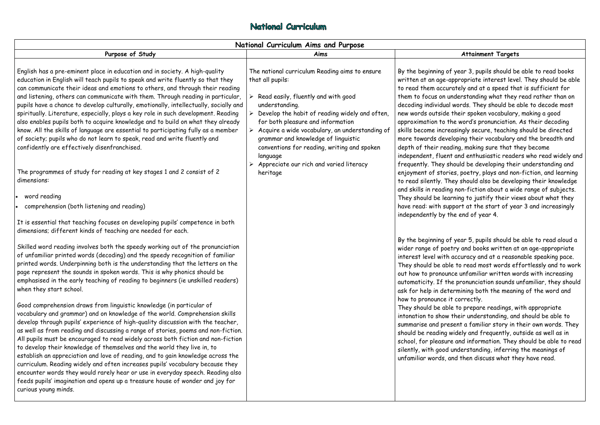## National Curriculum

| National Curriculum Aims and Purpose                                                                                                                                                                                                                                                                                                                                                                                                                                                                                                                                                                                                                                                                                                                                                                                                                                                                                                                                                                                                                                                                                                                                                                                                                                                                                                                                                                                                                       |                                                                                                                                                                                                                                                                                                                                                                                                                                                                              |                                                                                                                                                                                                                                                                                                                                                                                                                                              |  |  |
|------------------------------------------------------------------------------------------------------------------------------------------------------------------------------------------------------------------------------------------------------------------------------------------------------------------------------------------------------------------------------------------------------------------------------------------------------------------------------------------------------------------------------------------------------------------------------------------------------------------------------------------------------------------------------------------------------------------------------------------------------------------------------------------------------------------------------------------------------------------------------------------------------------------------------------------------------------------------------------------------------------------------------------------------------------------------------------------------------------------------------------------------------------------------------------------------------------------------------------------------------------------------------------------------------------------------------------------------------------------------------------------------------------------------------------------------------------|------------------------------------------------------------------------------------------------------------------------------------------------------------------------------------------------------------------------------------------------------------------------------------------------------------------------------------------------------------------------------------------------------------------------------------------------------------------------------|----------------------------------------------------------------------------------------------------------------------------------------------------------------------------------------------------------------------------------------------------------------------------------------------------------------------------------------------------------------------------------------------------------------------------------------------|--|--|
| Purpose of Study                                                                                                                                                                                                                                                                                                                                                                                                                                                                                                                                                                                                                                                                                                                                                                                                                                                                                                                                                                                                                                                                                                                                                                                                                                                                                                                                                                                                                                           | Aims                                                                                                                                                                                                                                                                                                                                                                                                                                                                         |                                                                                                                                                                                                                                                                                                                                                                                                                                              |  |  |
| English has a pre-eminent place in education and in society. A high-quality<br>education in English will teach pupils to speak and write fluently so that they<br>can communicate their ideas and emotions to others, and through their reading<br>and listening, others can communicate with them. Through reading in particular,<br>pupils have a chance to develop culturally, emotionally, intellectually, socially and<br>spiritually. Literature, especially, plays a key role in such development. Reading<br>also enables pupils both to acquire knowledge and to build on what they already<br>know. All the skills of language are essential to participating fully as a member<br>of society; pupils who do not learn to speak, read and write fluently and<br>confidently are effectively disenfranchised.<br>The programmes of study for reading at key stages 1 and 2 consist of 2<br>dimensions:<br>word reading<br>comprehension (both listening and reading)                                                                                                                                                                                                                                                                                                                                                                                                                                                                              | The national curriculum Reading aims to ensure<br>that all pupils:<br>Read easily, fluently and with good<br>≻<br>understanding.<br>Develop the habit of reading widely and often,<br>$\blacktriangleright$<br>for both pleasure and information<br>$\triangleright$ Acquire a wide vocabulary, an understanding of<br>grammar and knowledge of linguistic<br>conventions for reading, writing and spoken<br>language<br>Appreciate our rich and varied literacy<br>heritage | By the beginning of<br>written at an age-ap<br>to read them accura<br>them to focus on und<br>decoding individual w<br>new words outside tl<br>approximation to the<br>skills become increas<br>more towards develo<br>depth of their readi<br>independent, fluent<br>frequently. They sho<br>enjoyment of stories<br>to read silently. The<br>and skills in reading<br>They should be learr<br>have read: with supp<br>independently by the |  |  |
| It is essential that teaching focuses on developing pupils' competence in both<br>dimensions; different kinds of teaching are needed for each.<br>Skilled word reading involves both the speedy working out of the pronunciation<br>of unfamiliar printed words (decoding) and the speedy recognition of familiar<br>printed words. Underpinning both is the understanding that the letters on the<br>page represent the sounds in spoken words. This is why phonics should be<br>emphasised in the early teaching of reading to beginners (ie unskilled readers)<br>when they start school.<br>Good comprehension draws from linguistic knowledge (in particular of<br>vocabulary and grammar) and on knowledge of the world. Comprehension skills<br>develop through pupils' experience of high-quality discussion with the teacher,<br>as well as from reading and discussing a range of stories, poems and non-fiction.<br>All pupils must be encouraged to read widely across both fiction and non-fiction<br>to develop their knowledge of themselves and the world they live in, to<br>establish an appreciation and love of reading, and to gain knowledge across the<br>curriculum. Reading widely and often increases pupils' vocabulary because they<br>encounter words they would rarely hear or use in everyday speech. Reading also<br>feeds pupils' imagination and opens up a treasure house of wonder and joy for<br>curious young minds. |                                                                                                                                                                                                                                                                                                                                                                                                                                                                              | By the beginning of<br>wider range of poetr<br>interest level with a<br>They should be able<br>out how to pronounce<br>automaticity. If the<br>ask for help in deter<br>how to pronounce it<br>They should be able<br>intonation to show tl<br>summarise and prese<br>should be reading wi<br>school, for pleasure<br>silently, with good ur<br>unfamiliar words, an                                                                         |  |  |

### **Attainment Targets**

year 3, pupils should be able to read books ppropriate interest level. They should be able itely and at a speed that is sufficient for derstanding what they read rather than on words. They should be able to decode most their spoken vocabulary, making a good e word's pronunciation. As their decoding isingly secure, teaching should be directed oping their vocabulary and the breadth and ing, making sure that they become and enthusiastic readers who read widely and ould be developing their understanding and es, poetry, plays and non-fiction, and learning ey should also be developing their knowledge non-fiction about a wide range of subjects. ning to justify their views about what they port at the start of year 3 and increasingly e end of year 4.

year 5, pupils should be able to read aloud a ry and books written at an age-appropriate accuracy and at a reasonable speaking pace. to read most words effortlessly and to work te unfamiliar written words with increasing pronunciation sounds unfamiliar, they should rmining both the meaning of the word and correctly.

to prepare readings, with appropriate their understanding, and should be able to ent a familiar story in their own words. They idely and frequently, outside as well as in and information. They should be able to read nderstanding, inferring the meanings of id then discuss what they have read.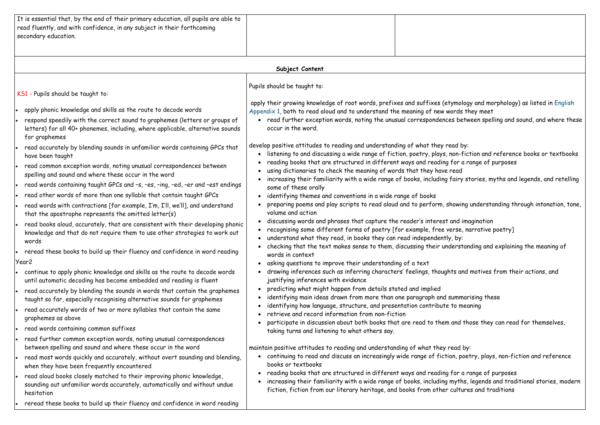| It is essential that, by the end of their primary education, all pupils are able to |  |
|-------------------------------------------------------------------------------------|--|
| read fluently, and with confidence, in any subject in their forthcoming             |  |
| secondary education.                                                                |  |
|                                                                                     |  |

### **Subject Content**  KS1 - Pupils should be taught to: apply phonic knowledge and skills as the route to decode words respond speedily with the correct sound to graphemes (letters or groups of letters) for all 40+ phonemes, including, where applicable, alternative sounds for graphemes read accurately by blending sounds in unfamiliar words containing GPCs that have been taught read common exception words, noting unusual correspondences between spelling and sound and where these occur in the word read words containing taught GPCs and –s, –es, –ing, –ed, –er and –est endings read other words of more than one syllable that contain taught GPCs read words with contractions [for example, I'm, I'll, we'll], and understand that the apostrophe represents the omitted letter(s) read books aloud, accurately, that are consistent with their developing phonic knowledge and that do not require them to use other strategies to work out words reread these books to build up their fluency and confidence in word reading Year2 continue to apply phonic knowledge and skills as the route to decode words until automatic decoding has become embedded and reading is fluent read accurately by blending the sounds in words that contain the graphemes taught so far, especially recognising alternative sounds for graphemes read accurately words of two or more syllables that contain the same graphemes as above read words containing common suffixes read further common exception words, noting unusual correspondences between spelling and sound and where these occur in the word read most words quickly and accurately, without overt sounding and blending, when they have been frequently encountered read aloud books closely matched to their improving phonic knowledge, sounding out unfamiliar words accurately, automatically and without undue hesitation reread these books to build up their fluency and confidence in word reading Pupils should be taught to: apply their growing knowledge of root words, prefixes and suffixes (etymology and morphology) as listed in English Appendix 1, both to read aloud and to understand the meaning of new words they meet read further exception words, noting the unusual correspondences between spelling and sound, and where these occur in the word. develop positive attitudes to reading and understanding of what they read by: listening to and discussing a wide range of fiction, poetry, plays, non-fiction and reference books or textbooks reading books that are structured in different ways and reading for a range of purposes using dictionaries to check the meaning of words that they have read increasing their familiarity with a wide range of books, including fairy stories, myths and legends, and retelling some of these orally • identifying themes and conventions in a wide range of books preparing poems and play scripts to read aloud and to perform, showing understanding through intonation, tone, volume and action discussing words and phrases that capture the reader's interest and imagination recognising some different forms of poetry [for example, free verse, narrative poetry] understand what they read, in books they can read independently, by: checking that the text makes sense to them, discussing their understanding and explaining the meaning of words in context asking questions to improve their understanding of a text drawing inferences such as inferring characters' feelings, thoughts and motives from their actions, and justifying inferences with evidence predicting what might happen from details stated and implied identifying main ideas drawn from more than one paragraph and summarising these identifying how language, structure, and presentation contribute to meaning retrieve and record information from non-fiction participate in discussion about both books that are read to them and those they can read for themselves, taking turns and listening to what others say. maintain positive attitudes to reading and understanding of what they read by: continuing to read and discuss an increasingly wide range of fiction, poetry, plays, non-fiction and reference books or textbooks • reading books that are structured in different ways and reading for a range of purposes increasing their familiarity with a wide range of books, including myths, legends and traditional stories, modern fiction, fiction from our literary heritage, and books from other cultures and traditions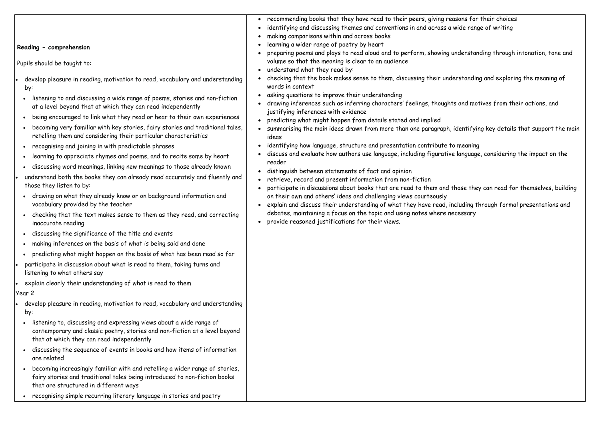### **Reading - comprehension**

Pupils should be taught to:

- develop pleasure in reading, motivation to read, vocabulary and understanding by:
- listening to and discussing a wide range of poems, stories and non-fiction at a level beyond that at which they can read independently
- being encouraged to link what they read or hear to their own experiences
- becoming very familiar with key stories, fairy stories and traditional tales, retelling them and considering their particular characteristics
- recognising and joining in with predictable phrases
- learning to appreciate rhymes and poems, and to recite some by heart
- discussing word meanings, linking new meanings to those already known
- understand both the books they can already read accurately and fluently and those they listen to by:
- drawing on what they already know or on background information and vocabulary provided by the teacher
- checking that the text makes sense to them as they read, and correcting inaccurate reading
- discussing the significance of the title and events
- making inferences on the basis of what is being said and done
- predicting what might happen on the basis of what has been read so far
- participate in discussion about what is read to them, taking turns and listening to what others say
- explain clearly their understanding of what is read to them

### Year 2

- develop pleasure in reading, motivation to read, vocabulary and understanding by:
- listening to, discussing and expressing views about a wide range of contemporary and classic poetry, stories and non-fiction at a level beyond that at which they can read independently
- discussing the sequence of events in books and how items of information are related
- becoming increasingly familiar with and retelling a wider range of stories, fairy stories and traditional tales being introduced to non-fiction books that are structured in different ways
- recognising simple recurring literary language in stories and poetry
- recommending books that they have read to their peers, giving reasons for their choices
- identifying and discussing themes and conventions in and across a wide range of writing
- making comparisons within and across books
- learning a wider range of poetry by heart
- preparing poems and plays to read aloud and to perform, showing understanding through intonation, tone and volume so that the meaning is clear to an audience
- understand what they read by:
- checking that the book makes sense to them, discussing their understanding and exploring the meaning of words in context
- asking questions to improve their understanding
- drawing inferences such as inferring characters' feelings, thoughts and motives from their actions, and justifying inferences with evidence
- predicting what might happen from details stated and implied
- summarising the main ideas drawn from more than one paragraph, identifying key details that support the main ideas
- identifying how language, structure and presentation contribute to meaning
- discuss and evaluate how authors use language, including figurative language, considering the impact on the reader
- distinguish between statements of fact and opinion
- retrieve, record and present information from non-fiction
- participate in discussions about books that are read to them and those they can read for themselves, building on their own and others' ideas and challenging views courteously
- explain and discuss their understanding of what they have read, including through formal presentations and debates, maintaining a focus on the topic and using notes where necessary
- provide reasoned justifications for their views.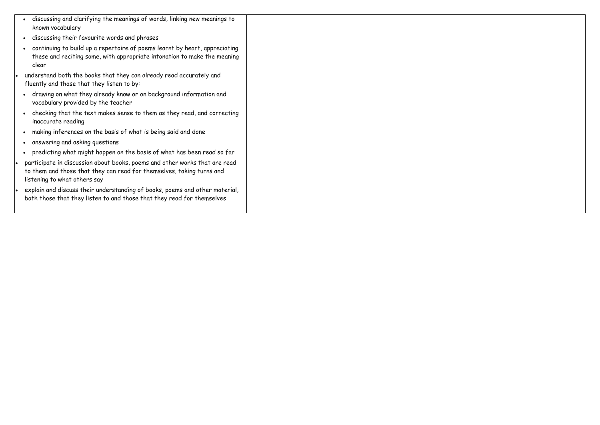- discussing and clarifying the meanings of words, linking new meanings to known vocabulary
- discussing their favourite words and phrases
- continuing to build up a repertoire of poems learnt by heart, appreciating these and reciting some, with appropriate intonation to make the meaning clear
- understand both the books that they can already read accurately and fluently and those that they listen to by:
- drawing on what they already know or on background information and vocabulary provided by the teacher
- checking that the text makes sense to them as they read, and correcting inaccurate reading
- making inferences on the basis of what is being said and done
- answering and asking questions
- predicting what might happen on the basis of what has been read so far
- participate in discussion about books, poems and other works that are read to them and those that they can read for themselves, taking turns and listening to what others say
- explain and discuss their understanding of books, poems and other material, both those that they listen to and those that they read for themselves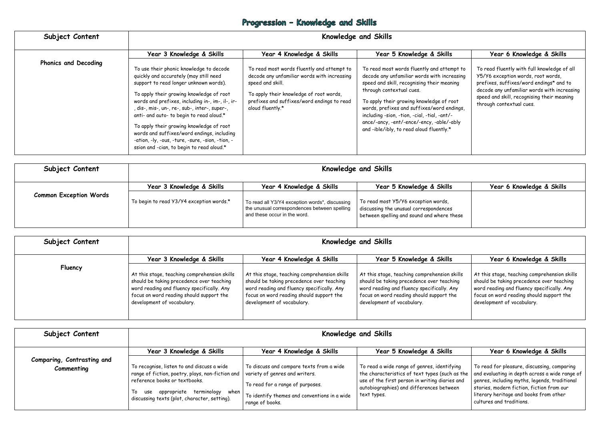# Progression - Knowledge and Skills

| Subject Content             |                                                                                                                                                                                                                                                                                                                                                                                                                                                                                                                     | <b>Knowledge and Skills</b>                                                                                                                                                                                                |                                                                                                                                                                                                                                                                                                                                                                                                        |                                                                                                                                                                                                                                                       |  |
|-----------------------------|---------------------------------------------------------------------------------------------------------------------------------------------------------------------------------------------------------------------------------------------------------------------------------------------------------------------------------------------------------------------------------------------------------------------------------------------------------------------------------------------------------------------|----------------------------------------------------------------------------------------------------------------------------------------------------------------------------------------------------------------------------|--------------------------------------------------------------------------------------------------------------------------------------------------------------------------------------------------------------------------------------------------------------------------------------------------------------------------------------------------------------------------------------------------------|-------------------------------------------------------------------------------------------------------------------------------------------------------------------------------------------------------------------------------------------------------|--|
|                             | Year 3 Knowledge & Skills                                                                                                                                                                                                                                                                                                                                                                                                                                                                                           | Year 4 Knowledge & Skills                                                                                                                                                                                                  | Year 5 Knowledge & Skills                                                                                                                                                                                                                                                                                                                                                                              | Year 6 Knowledge & Skills                                                                                                                                                                                                                             |  |
| <b>Phonics and Decoding</b> | To use their phonic knowledge to decode<br>quickly and accurately (may still need<br>support to read longer unknown words).<br>To apply their growing knowledge of root<br>words and prefixes, including in-, im-, il-, ir-<br>, dis-, mis-, un-, re-, sub-, inter-, super-,<br>anti- and auto- to begin to read aloud.*<br>To apply their growing knowledge of root<br>words and suffixes/word endings, including<br>-ation, -ly, -ous, -ture, -sure, -sion, -tion, -<br>ssion and -cian, to begin to read aloud.* | To read most words fluently and attempt to<br>decode any unfamiliar words with increasing<br>speed and skill.<br>To apply their knowledge of root words,<br>prefixes and suffixes/word endings to read<br>aloud fluently.* | To read most words fluently and attempt to<br>decode any unfamiliar words with increasing<br>speed and skill, recognising their meaning<br>through contextual cues.<br>To apply their growing knowledge of root<br>words, prefixes and suffixes/word endings,<br>including -sion, -tion, -cial, -tial, -ant/-<br>ance/-ancy, -ent/-ence/-ency, -able/-ably<br>and -ible/ibly, to read aloud fluently.* | To read fluently with full knowledge of all<br>Y5/Y6 exception words, root words,<br>prefixes, suffixes/word endings* and to<br>decode any unfamiliar words with increasing<br>speed and skill, recognising their meaning<br>through contextual cues. |  |

| Subject Content               | <b>Knowledge and Skills</b>              |                                                                                                                                |                                                                                                                             |                           |  |
|-------------------------------|------------------------------------------|--------------------------------------------------------------------------------------------------------------------------------|-----------------------------------------------------------------------------------------------------------------------------|---------------------------|--|
|                               | Year 3 Knowledge & Skills                | Year 4 Knowledge & Skills                                                                                                      | Year 5 Knowledge & Skills                                                                                                   | Year 6 Knowledge & Skills |  |
| <b>Common Exception Words</b> | To begin to read Y3/Y4 exception words.* | To read all Y3/Y4 exception words*, discussing<br>the unusual correspondences between spelling<br>and these occur in the word. | To read most Y5/Y6 exception words,<br>discussing the unusual correspondences<br>between spelling and sound and where these |                           |  |

| Subject Content | <b>Knowledge and Skills</b>                                                                                                                                                                                       |                                                                                                                                                                                                                   |                                                                                                                                                                                                                   |                                                                                                                                                                                                                   |
|-----------------|-------------------------------------------------------------------------------------------------------------------------------------------------------------------------------------------------------------------|-------------------------------------------------------------------------------------------------------------------------------------------------------------------------------------------------------------------|-------------------------------------------------------------------------------------------------------------------------------------------------------------------------------------------------------------------|-------------------------------------------------------------------------------------------------------------------------------------------------------------------------------------------------------------------|
|                 | Year 3 Knowledge & Skills                                                                                                                                                                                         | Year 4 Knowledge & Skills                                                                                                                                                                                         | Year 5 Knowledge & Skills                                                                                                                                                                                         | Year 6 Knowledge & Skills                                                                                                                                                                                         |
| Fluency         | At this stage, teaching comprehension skills<br>should be taking precedence over teaching<br>word reading and fluency specifically. Any<br>focus on word reading should support the<br>development of vocabulary. | At this stage, teaching comprehension skills<br>should be taking precedence over teaching<br>word reading and fluency specifically. Any<br>focus on word reading should support the<br>development of vocabulary. | At this stage, teaching comprehension skills<br>should be taking precedence over teaching<br>word reading and fluency specifically. Any<br>focus on word reading should support the<br>development of vocabulary. | At this stage, teaching comprehension skills<br>should be taking precedence over teaching<br>word reading and fluency specifically. Any<br>focus on word reading should support the<br>development of vocabulary. |

| Subject Content                          | <b>Knowledge and Skills</b>                                                                                                                                                                                     |                                                                                                                                                                                             |                                                                                                                                                                                                                                                       |                                                                                                                                                                                                                                                                    |  |
|------------------------------------------|-----------------------------------------------------------------------------------------------------------------------------------------------------------------------------------------------------------------|---------------------------------------------------------------------------------------------------------------------------------------------------------------------------------------------|-------------------------------------------------------------------------------------------------------------------------------------------------------------------------------------------------------------------------------------------------------|--------------------------------------------------------------------------------------------------------------------------------------------------------------------------------------------------------------------------------------------------------------------|--|
| Comparing, Contrasting and<br>Commenting | Year 3 Knowledge & Skills<br>To recognise, listen to and discuss a wide<br>range of fiction, poetry, plays, non-fiction and  <br>reference books or textbooks.<br>appropriate terminology when $ $<br>use<br>To | Year 4 Knowledge & Skills<br>To discuss and compare texts from a wide<br>variety of genres and writers.<br>To read for a range of purposes.<br>To identify themes and conventions in a wide | Year 5 Knowledge & Skills<br>To read a wide range of genres, identifying<br>, the characteristics of text types (such as the $\parallel$<br>use of the first person in writing diaries and<br>autobiographies) and differences between<br>text types. | Year 6 Knowledge & Skills<br>To read for pleasure, discussing, comparing<br>and evaluating in depth across a wide range of<br>genres, including myths, legends, traditional<br>stories, modern fiction, fiction from our<br>literary heritage and books from other |  |
|                                          | discussing texts (plot, character, setting).                                                                                                                                                                    | range of books.                                                                                                                                                                             |                                                                                                                                                                                                                                                       | cultures and traditions.                                                                                                                                                                                                                                           |  |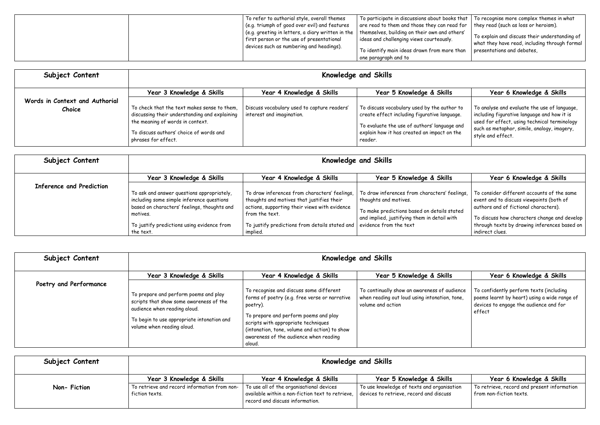| To refer to authorial style, overall themes                                                       | To participate in discussions about books that $\mid$ To recognise more complex themes in what    |                                               |
|---------------------------------------------------------------------------------------------------|---------------------------------------------------------------------------------------------------|-----------------------------------------------|
| $\vert$ (e.g. triumph of good over evil) and features                                             | $\vert$ are read to them and those they can read for $\vert$ they read (such as loss or heroism). |                                               |
| (e.g. greeting in letters, a diary written in the   themselves, building on their own and others' |                                                                                                   | To explain and discuss their understanding of |
| $\mid$ first person or the use of presentational                                                  | ideas and challenging views courteously.                                                          | what they have read, including through formal |
| devices such as numbering and headings).                                                          | To identify main ideas drawn from more than                                                       | presentations and debates,                    |
|                                                                                                   | one paragraph and to                                                                              |                                               |
|                                                                                                   |                                                                                                   |                                               |

| Subject Content                          | <b>Knowledge and Skills</b>                                                                                                                                                                        |                                                                          |                                                                                                                                                                                                       |                                                                                                                                                                                                                 |  |
|------------------------------------------|----------------------------------------------------------------------------------------------------------------------------------------------------------------------------------------------------|--------------------------------------------------------------------------|-------------------------------------------------------------------------------------------------------------------------------------------------------------------------------------------------------|-----------------------------------------------------------------------------------------------------------------------------------------------------------------------------------------------------------------|--|
|                                          | Year 3 Knowledge & Skills                                                                                                                                                                          | Year 4 Knowledge & Skills                                                | Year 5 Knowledge & Skills                                                                                                                                                                             | Year 6 Knowledge & Skills                                                                                                                                                                                       |  |
| Words in Context and Authorial<br>Choice | To check that the text makes sense to them,<br>discussing their understanding and explaining<br>the meaning of words in context.<br>To discuss authors' choice of words and<br>phrases for effect. | Discuss vocabulary used to capture readers'<br>interest and imagination. | To discuss vocabulary used by the author to<br>create effect including figurative language.<br>To evaluate the use of authors' language and<br>explain how it has created an impact on the<br>reader. | To analyse and evaluate the use of language,<br>including figurative language and how it is<br>used for effect, using technical terminology<br>such as metaphor, simile, analogy, imagery,<br>style and effect. |  |

| Subject Content                 | <b>Knowledge and Skills</b>                                                                                                                        |                                                                                                                                                               |                                                                                                                                                                      |                                                                                                                                                                                 |  |
|---------------------------------|----------------------------------------------------------------------------------------------------------------------------------------------------|---------------------------------------------------------------------------------------------------------------------------------------------------------------|----------------------------------------------------------------------------------------------------------------------------------------------------------------------|---------------------------------------------------------------------------------------------------------------------------------------------------------------------------------|--|
|                                 | Year 3 Knowledge & Skills                                                                                                                          | Year 4 Knowledge & Skills                                                                                                                                     | Year 5 Knowledge & Skills                                                                                                                                            | Year 6 Knowledge & Skills                                                                                                                                                       |  |
| <b>Inference and Prediction</b> | To ask and answer questions appropriately,<br>including some simple inference questions<br>based on characters' feelings, thoughts and<br>motives. | To draw inferences from characters' feelings,<br>thoughts and motives that justifies their<br>actions, supporting their views with evidence<br>from the text. | To draw inferences from characters' feelings,<br>thoughts and motives.<br>To make predictions based on details stated<br>and implied, justifying them in detail with | To consider different accounts of the same<br>event and to discuss viewpoints (both of<br>authors and of fictional characters).<br>To discuss how characters change and develop |  |
|                                 | To justify predictions using evidence from<br>the text.                                                                                            | To justify predictions from details stated and   evidence from the text<br>implied.                                                                           |                                                                                                                                                                      | through texts by drawing inferences based on<br>indirect clues.                                                                                                                 |  |

| Subject Content        | <b>Knowledge and Skills</b>                                                                                                                                                                  |                                                                                                                                                                                                                                                                                           |                                                                                                                    |                                                                                                                                             |  |
|------------------------|----------------------------------------------------------------------------------------------------------------------------------------------------------------------------------------------|-------------------------------------------------------------------------------------------------------------------------------------------------------------------------------------------------------------------------------------------------------------------------------------------|--------------------------------------------------------------------------------------------------------------------|---------------------------------------------------------------------------------------------------------------------------------------------|--|
| Poetry and Performance | Year 3 Knowledge & Skills                                                                                                                                                                    | Year 4 Knowledge & Skills                                                                                                                                                                                                                                                                 | Year 5 Knowledge & Skills                                                                                          | Year 6 Knowledge & Skills                                                                                                                   |  |
|                        | To prepare and perform poems and play<br>scripts that show some awareness of the<br>audience when reading aloud.<br>To begin to use appropriate intonation and<br>volume when reading aloud. | To recognise and discuss some different<br>forms of poetry (e.g. free verse or narrative<br>poetry).<br>To prepare and perform poems and play<br>scripts with appropriate techniques<br>(intonation, tone, volume and action) to show<br>awareness of the audience when reading<br>aloud. | To continually show an awareness of audience<br>when reading out loud using intonation, tone,<br>volume and action | To confidently perform texts (including<br>poems learnt by heart) using a wide range of<br>devices to engage the audience and for<br>effect |  |

| Subject Content | Knowledge and Skills                                           |                                                                                                                                 |                                                                                       |                                                                        |  |
|-----------------|----------------------------------------------------------------|---------------------------------------------------------------------------------------------------------------------------------|---------------------------------------------------------------------------------------|------------------------------------------------------------------------|--|
|                 | Year 3 Knowledge & Skills                                      | Year 4 Knowledge & Skills                                                                                                       | Year 5 Knowledge & Skills                                                             | Year 6 Knowledge & Skills                                              |  |
| Non-Fiction     | To retrieve and record information from non-<br>fiction texts. | To use all of the organisational devices<br>available within a non-fiction text to retrieve,<br>record and discuss information. | To use knowledge of texts and organisation<br>devices to retrieve, record and discuss | To retrieve, record and present information<br>from non-fiction texts. |  |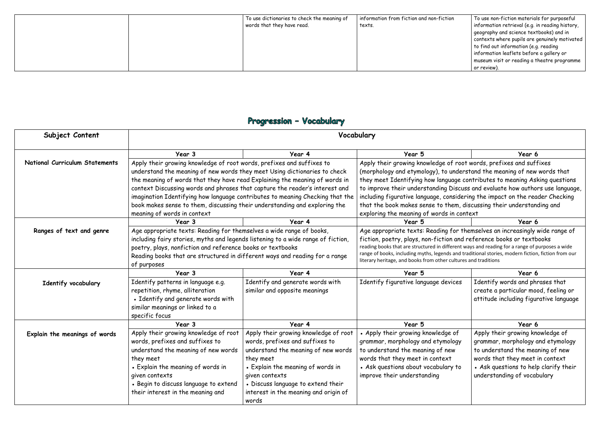| To use dictionaries to check the meaning of<br>words that they have read. | information from fiction and non-fiction<br>texts. | $^\mathsf{!}$ To use non-fiction materials for purposeful<br>information retrieval (e.g. in reading history,<br>geography and science textbooks) and in<br>contexts where pupils are genuinely motivated<br>to find out information (e.g. reading<br>information leaflets before a gallery or |
|---------------------------------------------------------------------------|----------------------------------------------------|-----------------------------------------------------------------------------------------------------------------------------------------------------------------------------------------------------------------------------------------------------------------------------------------------|
|                                                                           |                                                    | museum visit or reading a theatre programme<br>or review).                                                                                                                                                                                                                                    |

# Progression - Vocabulary

| Subject Content                       | Vocabulary                                                                       |                                                                               |                                                                                                                                                                                                      |                                                                               |
|---------------------------------------|----------------------------------------------------------------------------------|-------------------------------------------------------------------------------|------------------------------------------------------------------------------------------------------------------------------------------------------------------------------------------------------|-------------------------------------------------------------------------------|
|                                       | Year 3                                                                           | Year 4                                                                        | Year 5                                                                                                                                                                                               | Year 6                                                                        |
| <b>National Curriculum Statements</b> | Apply their growing knowledge of root words, prefixes and suffixes to            |                                                                               | Apply their growing knowledge of root words, prefixes and suffixes                                                                                                                                   |                                                                               |
|                                       | understand the meaning of new words they meet Using dictionaries to check        |                                                                               | (morphology and etymology), to understand the meaning of new words that                                                                                                                              |                                                                               |
|                                       | the meaning of words that they have read Explaining the meaning of words in      |                                                                               | they meet Identifying how language contributes to meaning Asking questions                                                                                                                           |                                                                               |
|                                       | context Discussing words and phrases that capture the reader's interest and      |                                                                               |                                                                                                                                                                                                      | to improve their understanding Discuss and evaluate how authors use language, |
|                                       |                                                                                  | imagination Identifying how language contributes to meaning Checking that the |                                                                                                                                                                                                      | including figurative language, considering the impact on the reader Checking  |
|                                       | book makes sense to them, discussing their understanding and exploring the       |                                                                               | that the book makes sense to them, discussing their understanding and                                                                                                                                |                                                                               |
|                                       | meaning of words in context                                                      |                                                                               | exploring the meaning of words in context                                                                                                                                                            |                                                                               |
|                                       | Year 3                                                                           | Year 4                                                                        | Year 5                                                                                                                                                                                               | Year 6                                                                        |
| Ranges of text and genre              | Age appropriate texts: Reading for themselves a wide range of books,             |                                                                               |                                                                                                                                                                                                      | Age appropriate texts: Reading for themselves an increasingly wide range of   |
|                                       | including fairy stories, myths and legends listening to a wide range of fiction, |                                                                               | fiction, poetry, plays, non-fiction and reference books or textbooks                                                                                                                                 |                                                                               |
|                                       | poetry, plays, nonfiction and reference books or textbooks                       |                                                                               | reading books that are structured in different ways and reading for a range of purposes a wide<br>range of books, including myths, legends and traditional stories, modern fiction, fiction from our |                                                                               |
|                                       | Reading books that are structured in different ways and reading for a range      |                                                                               | literary heritage, and books from other cultures and traditions                                                                                                                                      |                                                                               |
|                                       | of purposes                                                                      |                                                                               |                                                                                                                                                                                                      |                                                                               |
|                                       | Year 3                                                                           | Year 4                                                                        | Year 5                                                                                                                                                                                               | Year 6                                                                        |
| Identify vocabulary                   | Identify patterns in language e.g.                                               | Identify and generate words with                                              | Identify figurative language devices                                                                                                                                                                 | Identify words and phrases that                                               |
|                                       | repetition, rhyme, alliteration                                                  | similar and opposite meanings                                                 |                                                                                                                                                                                                      | create a particular mood, feeling or                                          |
|                                       | • Identify and generate words with                                               |                                                                               |                                                                                                                                                                                                      | attitude including figurative language                                        |
|                                       | similar meanings or linked to a                                                  |                                                                               |                                                                                                                                                                                                      |                                                                               |
|                                       | specific focus                                                                   |                                                                               |                                                                                                                                                                                                      |                                                                               |
|                                       | Year 3                                                                           | Year 4                                                                        | Year 5                                                                                                                                                                                               | Year 6                                                                        |
| Explain the meanings of words         | Apply their growing knowledge of root                                            | Apply their growing knowledge of root                                         | • Apply their growing knowledge of                                                                                                                                                                   | Apply their growing knowledge of                                              |
|                                       | words, prefixes and suffixes to                                                  | words, prefixes and suffixes to                                               | grammar, morphology and etymology                                                                                                                                                                    | grammar, morphology and etymology                                             |
|                                       | understand the meaning of new words                                              | understand the meaning of new words                                           | to understand the meaning of new                                                                                                                                                                     | to understand the meaning of new                                              |
|                                       | they meet                                                                        | they meet                                                                     | words that they meet in context                                                                                                                                                                      | words that they meet in context                                               |
|                                       | • Explain the meaning of words in                                                | • Explain the meaning of words in                                             | • Ask questions about vocabulary to                                                                                                                                                                  | • Ask questions to help clarify their                                         |
|                                       | given contexts                                                                   | given contexts                                                                | improve their understanding                                                                                                                                                                          | understanding of vocabulary                                                   |
|                                       | • Begin to discuss language to extend                                            | • Discuss language to extend their                                            |                                                                                                                                                                                                      |                                                                               |
|                                       | their interest in the meaning and                                                | interest in the meaning and origin of                                         |                                                                                                                                                                                                      |                                                                               |
|                                       |                                                                                  | words                                                                         |                                                                                                                                                                                                      |                                                                               |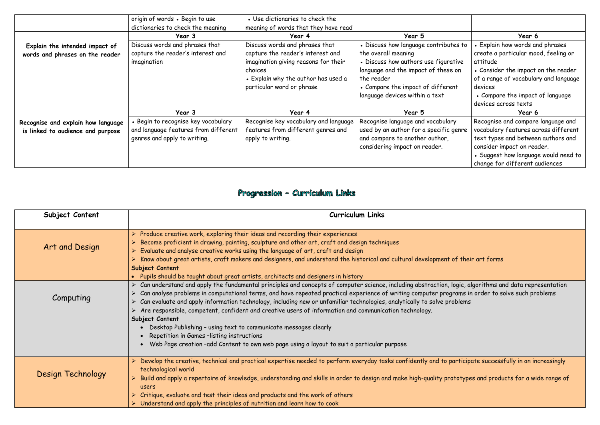|                                                                         | origin of words . Begin to use<br>dictionaries to check the meaning                                         | • Use dictionaries to check the<br>meaning of words that they have read                                                                                                                    |                                                                                                                                                                                                                                  |                                                                                                                                                                                                                                                 |
|-------------------------------------------------------------------------|-------------------------------------------------------------------------------------------------------------|--------------------------------------------------------------------------------------------------------------------------------------------------------------------------------------------|----------------------------------------------------------------------------------------------------------------------------------------------------------------------------------------------------------------------------------|-------------------------------------------------------------------------------------------------------------------------------------------------------------------------------------------------------------------------------------------------|
|                                                                         | Year 3                                                                                                      | Year 4                                                                                                                                                                                     | Year 5                                                                                                                                                                                                                           | Year 6                                                                                                                                                                                                                                          |
| Explain the intended impact of<br>words and phrases on the reader       | Discuss words and phrases that<br>capture the reader's interest and<br>imagination                          | Discuss words and phrases that<br>capture the reader's interest and<br>imagination giving reasons for their<br>choices<br>• Explain why the author has used a<br>particular word or phrase | • Discuss how language contributes to<br>the overall meaning<br>• Discuss how authors use figurative<br>language and the impact of these on<br>the reader<br>• Compare the impact of different<br>language devices within a text | <b>Explain how words and phrases</b><br>create a particular mood, feeling or<br>attitude<br>• Consider the impact on the reader<br>of a range of vocabulary and language<br>devices<br>• Compare the impact of language<br>devices across texts |
|                                                                         | Year 3                                                                                                      | Year 4                                                                                                                                                                                     | Year 5                                                                                                                                                                                                                           | Year 6                                                                                                                                                                                                                                          |
| Recognise and explain how language<br>is linked to audience and purpose | Begin to recognise key vocabulary .<br>and language features from different<br>genres and apply to writing. | Recognise key vocabulary and language<br>features from different genres and<br>apply to writing.                                                                                           | Recognise language and vocabulary<br>used by an author for a specific genre<br>and compare to another author,<br>considering impact on reader.                                                                                   | Recognise and compare language and<br>vocabulary features across different<br>text types and between authors and<br>consider impact on reader.<br>• Suggest how language would need to<br>change for different audiences                        |

# Progression - Curriculum Links

| Subject Content          | <b>Curriculum Links</b>                                                                                                                                                                                                                                                                                                                                                                                                                                                                                                                                                                                                                                                                                                |
|--------------------------|------------------------------------------------------------------------------------------------------------------------------------------------------------------------------------------------------------------------------------------------------------------------------------------------------------------------------------------------------------------------------------------------------------------------------------------------------------------------------------------------------------------------------------------------------------------------------------------------------------------------------------------------------------------------------------------------------------------------|
| Art and Design           | $\triangleright$ Produce creative work, exploring their ideas and recording their experiences<br>Become proficient in drawing, painting, sculpture and other art, craft and design techniques<br>$\triangleright$ Evaluate and analyse creative works using the language of art, craft and design<br>Know about great artists, craft makers and designers, and understand the historical and cultural development of their<br>Subject Content<br>• Pupils should be taught about great artists, architects and designers in history                                                                                                                                                                                    |
| Computing                | > Can understand and apply the fundamental principles and concepts of computer science, including abstraction, logic, al<br>Can analyse problems in computational terms, and have repeated practical experience of writing computer programs in<br>Can evaluate and apply information technology, including new or unfamiliar technologies, analytically to solve problems<br>Are responsible, competent, confident and creative users of information and communication technology.<br>Subject Content<br>Desktop Publishing - using text to communicate messages clearly<br>Repetition in Games -listing instructions<br>• Web Page creation -add Content to own web page using a layout to suit a particular purpose |
| <b>Design Technology</b> | > Develop the creative, technical and practical expertise needed to perform everyday tasks confidently and to participo<br>technological world<br>Build and apply a repertoire of knowledge, understanding and skills in order to design and make high-quality prototype<br>users<br>$\triangleright$ Critique, evaluate and test their ideas and products and the work of others<br>$\triangleright$ Understand and apply the principles of nutrition and learn how to cook                                                                                                                                                                                                                                           |

### of their art forms

 $\overline{\text{c}}$  gic, algorithms and data representation  $\overline{\text{c}}$ in analyse problems in computer problems, and in order to solve such problems

 $\overline{\text{articipate successfully}}$  in an increasingly in to participate successfully in an increasingly

totypes and products for a wide range of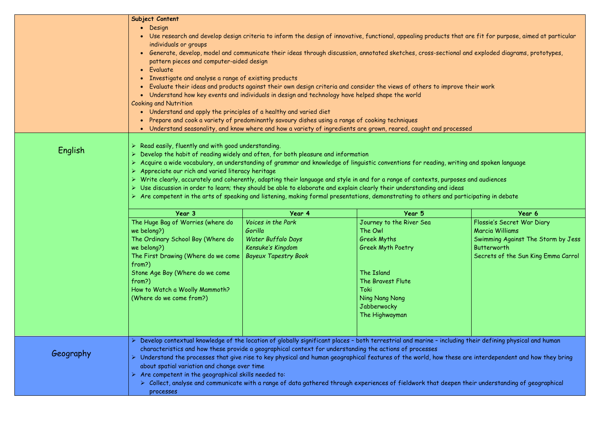|           | Subject Content<br>Design<br>$\bullet$                                                                                                                                                                                                                                                                                                                                                                                                                                                                                                                                                                                                                                                                                                                                                            |                                                                                                         |                                                                                                                                                         |                                                    |
|-----------|---------------------------------------------------------------------------------------------------------------------------------------------------------------------------------------------------------------------------------------------------------------------------------------------------------------------------------------------------------------------------------------------------------------------------------------------------------------------------------------------------------------------------------------------------------------------------------------------------------------------------------------------------------------------------------------------------------------------------------------------------------------------------------------------------|---------------------------------------------------------------------------------------------------------|---------------------------------------------------------------------------------------------------------------------------------------------------------|----------------------------------------------------|
|           | Use research and develop design criteria to inform the design of innovative, functional, appealing products that are fit for purpose, aimed at particular<br>$\bullet$                                                                                                                                                                                                                                                                                                                                                                                                                                                                                                                                                                                                                            |                                                                                                         |                                                                                                                                                         |                                                    |
|           | individuals or groups                                                                                                                                                                                                                                                                                                                                                                                                                                                                                                                                                                                                                                                                                                                                                                             |                                                                                                         |                                                                                                                                                         |                                                    |
|           | Generate, develop, model and communicate their ideas through discussion, annotated sketches, cross-sectional and exploded diagrams, prototypes,<br>$\bullet$                                                                                                                                                                                                                                                                                                                                                                                                                                                                                                                                                                                                                                      |                                                                                                         |                                                                                                                                                         |                                                    |
|           | pattern pieces and computer-aided design                                                                                                                                                                                                                                                                                                                                                                                                                                                                                                                                                                                                                                                                                                                                                          |                                                                                                         |                                                                                                                                                         |                                                    |
|           | • Evaluate                                                                                                                                                                                                                                                                                                                                                                                                                                                                                                                                                                                                                                                                                                                                                                                        |                                                                                                         |                                                                                                                                                         |                                                    |
|           | Investigate and analyse a range of existing products                                                                                                                                                                                                                                                                                                                                                                                                                                                                                                                                                                                                                                                                                                                                              |                                                                                                         |                                                                                                                                                         |                                                    |
|           |                                                                                                                                                                                                                                                                                                                                                                                                                                                                                                                                                                                                                                                                                                                                                                                                   |                                                                                                         | • Evaluate their ideas and products against their own design criteria and consider the views of others to improve their work                            |                                                    |
|           | <b>Cooking and Nutrition</b>                                                                                                                                                                                                                                                                                                                                                                                                                                                                                                                                                                                                                                                                                                                                                                      | • Understand how key events and individuals in design and technology have helped shape the world        |                                                                                                                                                         |                                                    |
|           | Understand and apply the principles of a healthy and varied diet<br>$\bullet$                                                                                                                                                                                                                                                                                                                                                                                                                                                                                                                                                                                                                                                                                                                     |                                                                                                         |                                                                                                                                                         |                                                    |
|           |                                                                                                                                                                                                                                                                                                                                                                                                                                                                                                                                                                                                                                                                                                                                                                                                   | Prepare and cook a variety of predominantly savoury dishes using a range of cooking techniques          |                                                                                                                                                         |                                                    |
|           | $\bullet$                                                                                                                                                                                                                                                                                                                                                                                                                                                                                                                                                                                                                                                                                                                                                                                         |                                                                                                         | Understand seasonality, and know where and how a variety of ingredients are grown, reared, caught and processed                                         |                                                    |
| English   | $\triangleright$ Read easily, fluently and with good understanding.<br>Develop the habit of reading widely and often, for both pleasure and information<br>> Acquire a wide vocabulary, an understanding of grammar and knowledge of linguistic conventions for reading, writing and spoken language<br>$\triangleright$ Appreciate our rich and varied literacy heritage<br>Write clearly, accurately and coherently, adapting their language and style in and for a range of contexts, purposes and audiences<br>Use discussion in order to learn; they should be able to elaborate and explain clearly their understanding and ideas<br>$\triangleright$ Are competent in the arts of speaking and listening, making formal presentations, demonstrating to others and participating in debate |                                                                                                         |                                                                                                                                                         |                                                    |
|           | Year 3                                                                                                                                                                                                                                                                                                                                                                                                                                                                                                                                                                                                                                                                                                                                                                                            | Year 4                                                                                                  | Year 5                                                                                                                                                  | Year 6                                             |
|           | The Huge Bag of Worries (where do                                                                                                                                                                                                                                                                                                                                                                                                                                                                                                                                                                                                                                                                                                                                                                 | Voices in the Park                                                                                      | Journey to the River Sea                                                                                                                                | Flossie's Secret War Diary                         |
|           | we belong?)                                                                                                                                                                                                                                                                                                                                                                                                                                                                                                                                                                                                                                                                                                                                                                                       | Gorilla                                                                                                 | The Owl                                                                                                                                                 | <b>Marcia Williams</b>                             |
|           | The Ordinary School Boy (Where do   Water Buffalo Days                                                                                                                                                                                                                                                                                                                                                                                                                                                                                                                                                                                                                                                                                                                                            |                                                                                                         | <b>Greek Myths</b>                                                                                                                                      | Swimming Against The Storm by Jess                 |
|           | we belong?)<br>The First Drawing (Where do we come   Bayeux Tapestry Book                                                                                                                                                                                                                                                                                                                                                                                                                                                                                                                                                                                                                                                                                                                         | Kensuke's Kingdom                                                                                       | <b>Greek Myth Poetry</b>                                                                                                                                | Butterworth<br>Secrets of the Sun King Emma Carrol |
|           | from?)                                                                                                                                                                                                                                                                                                                                                                                                                                                                                                                                                                                                                                                                                                                                                                                            |                                                                                                         |                                                                                                                                                         |                                                    |
|           | Stone Age Boy (Where do we come                                                                                                                                                                                                                                                                                                                                                                                                                                                                                                                                                                                                                                                                                                                                                                   |                                                                                                         | The Island                                                                                                                                              |                                                    |
|           | from?)                                                                                                                                                                                                                                                                                                                                                                                                                                                                                                                                                                                                                                                                                                                                                                                            |                                                                                                         | The Bravest Flute                                                                                                                                       |                                                    |
|           | How to Watch a Woolly Mammoth?                                                                                                                                                                                                                                                                                                                                                                                                                                                                                                                                                                                                                                                                                                                                                                    |                                                                                                         | Toki                                                                                                                                                    |                                                    |
|           | (Where do we come from?)                                                                                                                                                                                                                                                                                                                                                                                                                                                                                                                                                                                                                                                                                                                                                                          |                                                                                                         | Ning Nang Nong                                                                                                                                          |                                                    |
|           |                                                                                                                                                                                                                                                                                                                                                                                                                                                                                                                                                                                                                                                                                                                                                                                                   |                                                                                                         | Jabberwocky<br>The Highwayman                                                                                                                           |                                                    |
|           |                                                                                                                                                                                                                                                                                                                                                                                                                                                                                                                                                                                                                                                                                                                                                                                                   |                                                                                                         |                                                                                                                                                         |                                                    |
|           |                                                                                                                                                                                                                                                                                                                                                                                                                                                                                                                                                                                                                                                                                                                                                                                                   |                                                                                                         |                                                                                                                                                         |                                                    |
|           |                                                                                                                                                                                                                                                                                                                                                                                                                                                                                                                                                                                                                                                                                                                                                                                                   |                                                                                                         | Develop contextual knowledge of the location of globally significant places - both terrestrial and marine - including their defining physical and human |                                                    |
| Geography |                                                                                                                                                                                                                                                                                                                                                                                                                                                                                                                                                                                                                                                                                                                                                                                                   | characteristics and how these provide a geographical context for understanding the actions of processes |                                                                                                                                                         |                                                    |
|           | about spatial variation and change over time                                                                                                                                                                                                                                                                                                                                                                                                                                                                                                                                                                                                                                                                                                                                                      |                                                                                                         | Understand the processes that give rise to key physical and human geographical features of the world, how these are interdependent and how they bring   |                                                    |
|           | Are competent in the geographical skills needed to:                                                                                                                                                                                                                                                                                                                                                                                                                                                                                                                                                                                                                                                                                                                                               |                                                                                                         |                                                                                                                                                         |                                                    |
|           |                                                                                                                                                                                                                                                                                                                                                                                                                                                                                                                                                                                                                                                                                                                                                                                                   |                                                                                                         | > Collect, analyse and communicate with a range of data gathered through experiences of fieldwork that deepen their understanding of geographical       |                                                    |
|           | processes                                                                                                                                                                                                                                                                                                                                                                                                                                                                                                                                                                                                                                                                                                                                                                                         |                                                                                                         |                                                                                                                                                         |                                                    |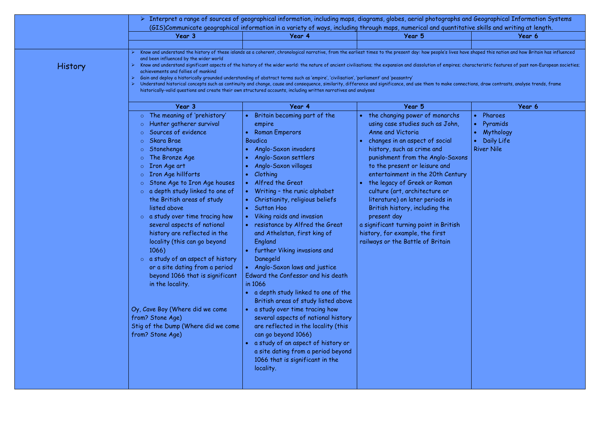|                | Interpret a range of sources of geographical information, including maps, diagrams, globes, aerial photographs and Geographical Information Systems<br>(GIS)Communicate geographical information in a variety of ways, including through maps, numerical and quantitative skills and writing at length.                                                                                                                                                                                                                                                                                                                                                                                                                               |                                                                                                                                                                                                                                                                                                                                                                                                                                                                                                                                                                                                                                                                                                                                                                                                                                                                  |                                                                                                                                                                                                                                                                                                                                                                                                                                                                                                                                          |                                                                     |
|----------------|---------------------------------------------------------------------------------------------------------------------------------------------------------------------------------------------------------------------------------------------------------------------------------------------------------------------------------------------------------------------------------------------------------------------------------------------------------------------------------------------------------------------------------------------------------------------------------------------------------------------------------------------------------------------------------------------------------------------------------------|------------------------------------------------------------------------------------------------------------------------------------------------------------------------------------------------------------------------------------------------------------------------------------------------------------------------------------------------------------------------------------------------------------------------------------------------------------------------------------------------------------------------------------------------------------------------------------------------------------------------------------------------------------------------------------------------------------------------------------------------------------------------------------------------------------------------------------------------------------------|------------------------------------------------------------------------------------------------------------------------------------------------------------------------------------------------------------------------------------------------------------------------------------------------------------------------------------------------------------------------------------------------------------------------------------------------------------------------------------------------------------------------------------------|---------------------------------------------------------------------|
|                | Year 3                                                                                                                                                                                                                                                                                                                                                                                                                                                                                                                                                                                                                                                                                                                                | Year 4                                                                                                                                                                                                                                                                                                                                                                                                                                                                                                                                                                                                                                                                                                                                                                                                                                                           | Year 5                                                                                                                                                                                                                                                                                                                                                                                                                                                                                                                                   | Year 6                                                              |
| <b>History</b> | and been influenced by the wider world<br>achievements and follies of mankind                                                                                                                                                                                                                                                                                                                                                                                                                                                                                                                                                                                                                                                         |                                                                                                                                                                                                                                                                                                                                                                                                                                                                                                                                                                                                                                                                                                                                                                                                                                                                  | Know and understand the history of these islands as a coherent, chronological narrative, from the earliest times to the present day: how people's lives have shaped this nation and how Britain has influenced<br>Know and understand significant aspects of the history of the wider world: the nature of ancient civilisations; the expansion and dissolution of empires; characteristic features of past non-European societies;                                                                                                      |                                                                     |
|                |                                                                                                                                                                                                                                                                                                                                                                                                                                                                                                                                                                                                                                                                                                                                       | Gain and deploy a historically grounded understanding of abstract terms such as 'empire', 'civilisation', 'parliament' and 'peasantry'<br>historically-valid questions and create their own structured accounts, including written narratives and analyses                                                                                                                                                                                                                                                                                                                                                                                                                                                                                                                                                                                                       | Understand historical concepts such as continuity and change, cause and consequence, similarity, difference and significance, and use them to make connections, draw contrasts, analyse trends, frame                                                                                                                                                                                                                                                                                                                                    |                                                                     |
|                | Year 3                                                                                                                                                                                                                                                                                                                                                                                                                                                                                                                                                                                                                                                                                                                                | Year 4                                                                                                                                                                                                                                                                                                                                                                                                                                                                                                                                                                                                                                                                                                                                                                                                                                                           | Year 5                                                                                                                                                                                                                                                                                                                                                                                                                                                                                                                                   | Year 6                                                              |
|                | The meaning of 'prehistory'<br>Hunter gatherer survival<br>$\circ$<br>Sources of evidence<br><b>Skara Brae</b><br>Stonehenge<br>The Bronze Age<br><b>Iron Age art</b><br>$\circ$<br>Iron Age hillforts<br>Stone Age to Iron Age houses<br>$\circ$ a depth study linked to one of<br>the British areas of study<br>listed above<br>$\circ$ a study over time tracing how<br>several aspects of national<br>history are reflected in the<br>locality (this can go beyond<br>1066)<br>$\circ$ a study of an aspect of history<br>or a site dating from a period<br>beyond 1066 that is significant<br>in the locality.<br>Oy, Cave Boy (Where did we come<br>from? Stone Age)<br>Stig of the Dump (Where did we come<br>from? Stone Age) | Britain becoming part of the<br>empire<br><b>Roman Emperors</b><br>Boudica<br>Anglo-Saxon invaders<br>Anglo-Saxon settlers<br>Anglo-Saxon villages<br>Clothing<br>Alfred the Great<br>Writing - the runic alphabet<br>Christianity, religious beliefs<br><b>Sutton Hoo</b><br>Viking raids and invasion<br>resistance by Alfred the Great<br>and Athelstan, first king of<br>England<br>further Viking invasions and<br>Danegeld<br>Anglo-Saxon laws and justice<br>Edward the Confessor and his death<br>in 1066<br>a depth study linked to one of the<br>British areas of study listed above<br>a study over time tracing how<br>several aspects of national history<br>are reflected in the locality (this<br>can go beyond 1066)<br>a study of an aspect of history or<br>a site dating from a period beyond<br>1066 that is significant in the<br>locality. | the changing power of monarchs<br>using case studies such as John,<br>Anne and Victoria<br>changes in an aspect of social<br>history, such as crime and<br>punishment from the Anglo-Saxons<br>to the present or leisure and<br>entertainment in the 20th Century<br>the legacy of Greek or Roman<br>culture (art, architecture or<br>literature) on later periods in<br>British history, including the<br>present day<br>a significant turning point in British<br>history, for example, the first<br>railways or the Battle of Britain | Pharoes<br>Pyramids<br>Mythology<br>Daily Life<br><b>River Nile</b> |

|                                                             | hs and Geographical Information Systems                   |  |  |
|-------------------------------------------------------------|-----------------------------------------------------------|--|--|
|                                                             | titative skills and writing at length.                    |  |  |
|                                                             | Year 6                                                    |  |  |
|                                                             |                                                           |  |  |
|                                                             | es have shaped this nation and how Britain has influenced |  |  |
| es; characteristic features of past non-European societies; |                                                           |  |  |

|           | Year 6                                                                                            |
|-----------|---------------------------------------------------------------------------------------------------|
| hs<br>in, | Pharoes<br>$\bullet$<br>• Pyramids<br>• Mythology<br>Daily Life<br>$\bullet$<br><b>River Nile</b> |
| axons     |                                                                                                   |
| ntury     |                                                                                                   |
|           |                                                                                                   |
|           |                                                                                                   |
|           |                                                                                                   |
| ish       |                                                                                                   |
|           |                                                                                                   |
|           |                                                                                                   |
|           |                                                                                                   |
|           |                                                                                                   |
|           |                                                                                                   |
|           |                                                                                                   |
|           |                                                                                                   |
|           |                                                                                                   |
|           |                                                                                                   |
|           |                                                                                                   |
|           |                                                                                                   |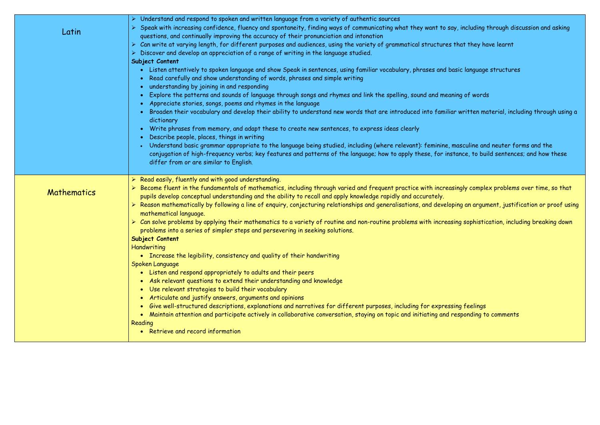| Latin       | > Understand and respond to spoken and written language from a variety of authentic sources<br>> Speak with increasing confidence, fluency and spontaneity, finding ways of communicating what they want to say<br>questions, and continually improving the accuracy of their pronunciation and intonation<br>> Can write at varying length, for different purposes and audiences, using the variety of grammatical structures<br>Discover and develop an appreciation of a range of writing in the language studied.<br>Subject Content<br>• Listen attentively to spoken language and show Speak in sentences, using familiar vocabulary, phrases and bo<br>Read carefully and show understanding of words, phrases and simple writing<br>understanding by joining in and responding<br>Explore the patterns and sounds of language through songs and rhymes and link the spelling, sound and mean<br>Appreciate stories, songs, poems and rhymes in the language<br>Broaden their vocabulary and develop their ability to understand new words that are introduced into familia<br>dictionary<br>Write phrases from memory, and adapt these to create new sentences, to express ideas clearly<br>$\bullet$<br>Describe people, places, things in writing<br>$\bullet$<br>Understand basic grammar appropriate to the language being studied, including (where relevant): feminine, n<br>conjugation of high-frequency verbs; key features and patterns of the language; how to apply these, for inst<br>differ from or are similar to English. |
|-------------|---------------------------------------------------------------------------------------------------------------------------------------------------------------------------------------------------------------------------------------------------------------------------------------------------------------------------------------------------------------------------------------------------------------------------------------------------------------------------------------------------------------------------------------------------------------------------------------------------------------------------------------------------------------------------------------------------------------------------------------------------------------------------------------------------------------------------------------------------------------------------------------------------------------------------------------------------------------------------------------------------------------------------------------------------------------------------------------------------------------------------------------------------------------------------------------------------------------------------------------------------------------------------------------------------------------------------------------------------------------------------------------------------------------------------------------------------------------------------------------------------------------------------------------------------|
| Mathematics | $\triangleright$ Read easily, fluently and with good understanding.<br>$\triangleright$ Become fluent in the fundamentals of mathematics, including through varied and frequent practice with increas<br>pupils develop conceptual understanding and the ability to recall and apply knowledge rapidly and accurately.<br>> Reason mathematically by following a line of enquiry, conjecturing relationships and generalisations, and develop<br>mathematical language.<br>> Can solve problems by applying their mathematics to a variety of routine and non-routine problems with increasi<br>problems into a series of simpler steps and persevering in seeking solutions.<br>Subject Content<br>Handwriting<br>• Increase the legibility, consistency and quality of their handwriting<br>Spoken Language<br>• Listen and respond appropriately to adults and their peers<br>• Ask relevant questions to extend their understanding and knowledge<br>Use relevant strategies to build their vocabulary<br>$\bullet$<br>Articulate and justify answers, arguments and opinions<br>$\bullet$<br>Give well-structured descriptions, explanations and narratives for different purposes, including for expressi<br>$\bullet$<br>Maintain attention and participate actively in collaborative conversation, staying on topic and initiating and r<br>Reading<br>• Retrieve and record information                                                                                                                                                  |

y, including through discussion and asking  $\epsilon$ that they have learnt

asic language structures

ning of words

r written material, including through using a<br>

nasculine and neuter forms and the tance, to build sentences; and how these

singly complex problems over time, so that

ping an argument, justification or proof using <sup>.</sup>

 $\mathop{\mathsf{sing}}$  sophistication, including breaking down-

ing feelings responding to comments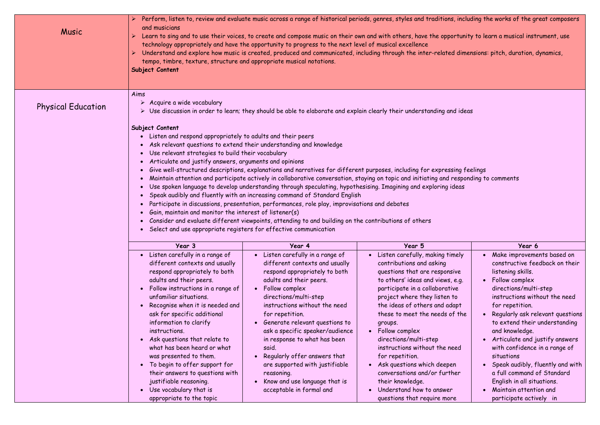| Music                     | and musicians<br>tempo, timbre, texture, structure and appropriate musical notations.<br>Subject Content                                                                                                                                                                                                                                                                                                                                                                                                                                                | technology appropriately and have the opportunity to progress to the next level of musical excellence                                                                                                                                                                                                                                                                                                                                                                                  | Perform, listen to, review and evaluate music across a range of historical periods, genres, styles and traditions, including the works of the gre<br>Learn to sing and to use their voices, to create and compose music on their own and with others, have the opportunity to learn a musical instri<br>Understand and explore how music is created, produced and communicated, including through the inter-related dimensions: pitch, duration, dy                                                                                                                   |                                                                                                                                                                                                                                                                                                                                                                             |
|---------------------------|---------------------------------------------------------------------------------------------------------------------------------------------------------------------------------------------------------------------------------------------------------------------------------------------------------------------------------------------------------------------------------------------------------------------------------------------------------------------------------------------------------------------------------------------------------|----------------------------------------------------------------------------------------------------------------------------------------------------------------------------------------------------------------------------------------------------------------------------------------------------------------------------------------------------------------------------------------------------------------------------------------------------------------------------------------|-----------------------------------------------------------------------------------------------------------------------------------------------------------------------------------------------------------------------------------------------------------------------------------------------------------------------------------------------------------------------------------------------------------------------------------------------------------------------------------------------------------------------------------------------------------------------|-----------------------------------------------------------------------------------------------------------------------------------------------------------------------------------------------------------------------------------------------------------------------------------------------------------------------------------------------------------------------------|
| <b>Physical Education</b> | Aims<br>$\triangleright$ Acquire a wide vocabulary<br>Subject Content<br>• Listen and respond appropriately to adults and their peers<br>• Use relevant strategies to build their vocabulary<br>Articulate and justify answers, arguments and opinions<br>Gain, maintain and monitor the interest of listener(s)<br>• Select and use appropriate registers for effective communication                                                                                                                                                                  | Ask relevant questions to extend their understanding and knowledge<br>Use spoken language to develop understanding through speculating, hypothesising. Imagining and exploring ideas<br>• Speak audibly and fluently with an increasing command of Standard English<br>Participate in discussions, presentation, performances, role play, improvisations and debates<br>• Consider and evaluate different viewpoints, attending to and building on the contributions of others         | Use discussion in order to learn; they should be able to elaborate and explain clearly their understanding and ideas<br>Give well-structured descriptions, explanations and narratives for different purposes, including for expressing feelings<br>Maintain attention and participate actively in collaborative conversation, staying on topic and initiating and responding to comments                                                                                                                                                                             |                                                                                                                                                                                                                                                                                                                                                                             |
|                           | Year 3                                                                                                                                                                                                                                                                                                                                                                                                                                                                                                                                                  | Year 4                                                                                                                                                                                                                                                                                                                                                                                                                                                                                 | Year 5                                                                                                                                                                                                                                                                                                                                                                                                                                                                                                                                                                | Year 6                                                                                                                                                                                                                                                                                                                                                                      |
|                           | • Listen carefully in a range of<br>different contexts and usually<br>respond appropriately to both<br>adults and their peers.<br>Follow instructions in a range of<br>unfamiliar situations.<br>Recognise when it is needed and<br>ask for specific additional<br>information to clarify<br>instructions.<br>Ask questions that relate to<br>what has been heard or what<br>was presented to them.<br>To begin to offer support for<br>their answers to questions with<br>justifiable reasoning.<br>Use vocabulary that is<br>appropriate to the topic | Listen carefully in a range of<br>different contexts and usually<br>respond appropriately to both<br>adults and their peers.<br>Follow complex<br>directions/multi-step<br>instructions without the need<br>for repetition.<br>Generate relevant questions to<br>ask a specific speaker/audience<br>in response to what has been<br>said.<br>Regularly offer answers that<br>are supported with justifiable<br>reasoning.<br>Know and use language that is<br>acceptable in formal and | Listen carefully, making timely<br>$\bullet$<br>contributions and asking<br>questions that are responsive<br>to others' ideas and views, e.g.<br>participate in a collaborative<br>project where they listen to<br>the ideas of others and adapt<br>these to meet the needs of the<br>groups.<br>• Follow complex<br>directions/multi-step<br>instructions without the need<br>for repetition.<br>Ask questions which deepen<br>$\bullet$<br>conversations and/or further<br>their knowledge.<br>Understand how to answer<br>$\bullet$<br>questions that require more | Make improvemer<br>constructive feed<br>listening skills.<br>Follow complex<br>directions/multi-<br>instructions with<br>for repetition.<br>Regularly ask rele<br>to extend their u<br>and knowledge.<br>Articulate and ju<br>with confidence i<br>situations<br>Speak audibly, flu<br>a full command of<br>English in all situd<br>Maintain attentio<br>participate active |

s, including the works of the great composers  $\overline{\phantom{s}}$ 

ortunity to learn a musical instrument, use  $\overline{\phantom{a}}$ 

d dimensions: pitch, duration, dynamics, including the inter-

|       | Year 6                           |
|-------|----------------------------------|
| nely  | Make improvements based on       |
|       | constructive feedback on their   |
| ive   | listening skills.                |
| e.g.  | Follow complex                   |
| e)    | directions/multi-step            |
| ٥.    | instructions without the need    |
| apt   | for repetition.                  |
| f the | Regularly ask relevant questions |
|       | to extend their understanding    |
|       | and knowledge.                   |
|       | Articulate and justify answers   |
| :ed   | with confidence in a range of    |
|       | situations                       |
|       | Speak audibly, fluently and with |
| ler   | a full command of Standard       |
|       | English in all situations.       |
|       | Maintain attention and           |
|       | participate actively<br>in       |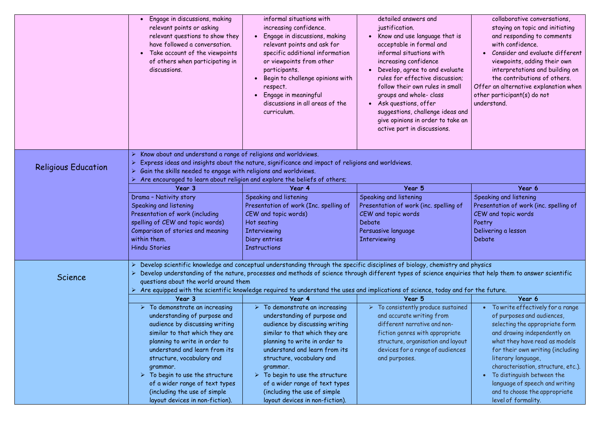|                            | Engage in discussions, making<br>$\bullet$<br>relevant points or asking<br>relevant questions to show they<br>have followed a conversation.<br>Take account of the viewpoints<br>$\bullet$<br>of others when participating in<br>discussions. | informal situations with<br>increasing confidence.<br>Engage in discussions, making<br>relevant points and ask for<br>specific additional information<br>or viewpoints from other<br>participants.<br>Begin to challenge opinions with<br>respect.<br>Engage in meaningful<br>discussions in all areas of the<br>curriculum. | detailed answers and<br>justification.<br>Know and use language that is<br>$\bullet$<br>acceptable in formal and<br>informal situations with<br>increasing confidence<br>• Develop, agree to and evaluate<br>rules for effective discussion;<br>follow their own rules in small<br>groups and whole- class<br>Ask questions, offer<br>$\bullet$<br>suggestions, challenge ideas and<br>give opinions in order to take an<br>active part in discussions. | collaborative conversations,<br>staying on topic and initiating<br>and responding to comments<br>with confidence.<br>Consider and evaluate different<br>viewpoints, adding their own<br>interpretations and building on<br>the contributions of others.<br>Offer an alternative explanation when<br>other participant(s) do not<br>understand. |
|----------------------------|-----------------------------------------------------------------------------------------------------------------------------------------------------------------------------------------------------------------------------------------------|------------------------------------------------------------------------------------------------------------------------------------------------------------------------------------------------------------------------------------------------------------------------------------------------------------------------------|---------------------------------------------------------------------------------------------------------------------------------------------------------------------------------------------------------------------------------------------------------------------------------------------------------------------------------------------------------------------------------------------------------------------------------------------------------|------------------------------------------------------------------------------------------------------------------------------------------------------------------------------------------------------------------------------------------------------------------------------------------------------------------------------------------------|
| <b>Religious Education</b> | Know about and understand a range of religions and worldviews.<br>Gain the skills needed to engage with religions and worldviews.                                                                                                             | Express ideas and insights about the nature, significance and impact of religions and worldviews.<br>Are encouraged to learn about religion and explore the beliefs of others;                                                                                                                                               |                                                                                                                                                                                                                                                                                                                                                                                                                                                         |                                                                                                                                                                                                                                                                                                                                                |
|                            | Year 3                                                                                                                                                                                                                                        | Year 4                                                                                                                                                                                                                                                                                                                       | Year 5                                                                                                                                                                                                                                                                                                                                                                                                                                                  | Year 6                                                                                                                                                                                                                                                                                                                                         |
|                            | Drama - Nativity story                                                                                                                                                                                                                        | Speaking and listening                                                                                                                                                                                                                                                                                                       | Speaking and listening                                                                                                                                                                                                                                                                                                                                                                                                                                  | Speaking and listening                                                                                                                                                                                                                                                                                                                         |
|                            | Speaking and listening                                                                                                                                                                                                                        | Presentation of work (Inc. spelling of                                                                                                                                                                                                                                                                                       | Presentation of work (inc. spelling of                                                                                                                                                                                                                                                                                                                                                                                                                  | Presentation of work (inc. spelling of                                                                                                                                                                                                                                                                                                         |
|                            | Presentation of work (including                                                                                                                                                                                                               | CEW and topic words)                                                                                                                                                                                                                                                                                                         | CEW and topic words                                                                                                                                                                                                                                                                                                                                                                                                                                     | CEW and topic words                                                                                                                                                                                                                                                                                                                            |
|                            | spelling of CEW and topic words)                                                                                                                                                                                                              | Hot seating                                                                                                                                                                                                                                                                                                                  | Debate                                                                                                                                                                                                                                                                                                                                                                                                                                                  | Poetry                                                                                                                                                                                                                                                                                                                                         |
|                            | Comparison of stories and meaning                                                                                                                                                                                                             | <b>Interviewing</b>                                                                                                                                                                                                                                                                                                          | Persuasive language                                                                                                                                                                                                                                                                                                                                                                                                                                     | Delivering a lesson                                                                                                                                                                                                                                                                                                                            |
|                            | within them.                                                                                                                                                                                                                                  | Diary entries                                                                                                                                                                                                                                                                                                                | <b>Interviewing</b>                                                                                                                                                                                                                                                                                                                                                                                                                                     | Debate                                                                                                                                                                                                                                                                                                                                         |
|                            | <b>Hindu Stories</b>                                                                                                                                                                                                                          | <b>Instructions</b>                                                                                                                                                                                                                                                                                                          |                                                                                                                                                                                                                                                                                                                                                                                                                                                         |                                                                                                                                                                                                                                                                                                                                                |
| Science                    | questions about the world around them                                                                                                                                                                                                         |                                                                                                                                                                                                                                                                                                                              | Develop scientific knowledge and conceptual understanding through the specific disciplines of biology, chemistry and physics<br>Develop understanding of the nature, processes and methods of science through different types of science enquiries that help them to answer scientific<br>Are equipped with the scientific knowledge required to understand the uses and implications of science, today and for the future.                             |                                                                                                                                                                                                                                                                                                                                                |
|                            | Year 3                                                                                                                                                                                                                                        | Year 4                                                                                                                                                                                                                                                                                                                       | Year 5                                                                                                                                                                                                                                                                                                                                                                                                                                                  | Year 6                                                                                                                                                                                                                                                                                                                                         |
|                            | $\triangleright$ To demonstrate an increasing<br>understanding of purpose and                                                                                                                                                                 | To demonstrate an increasing<br>understanding of purpose and                                                                                                                                                                                                                                                                 | To consistently produce sustained<br>and accurate writing from                                                                                                                                                                                                                                                                                                                                                                                          | To write effectively for a range<br>of purposes and audiences,                                                                                                                                                                                                                                                                                 |
|                            | audience by discussing writing                                                                                                                                                                                                                | audience by discussing writing                                                                                                                                                                                                                                                                                               | different narrative and non-                                                                                                                                                                                                                                                                                                                                                                                                                            | selecting the appropriate form                                                                                                                                                                                                                                                                                                                 |
|                            | similar to that which they are                                                                                                                                                                                                                | similar to that which they are                                                                                                                                                                                                                                                                                               | fiction genres with appropriate                                                                                                                                                                                                                                                                                                                                                                                                                         | and drawing independently on                                                                                                                                                                                                                                                                                                                   |
|                            | planning to write in order to                                                                                                                                                                                                                 | planning to write in order to                                                                                                                                                                                                                                                                                                | structure, organisation and layout                                                                                                                                                                                                                                                                                                                                                                                                                      | what they have read as models                                                                                                                                                                                                                                                                                                                  |
|                            | understand and learn from its                                                                                                                                                                                                                 | understand and learn from its                                                                                                                                                                                                                                                                                                | devices for a range of audiences                                                                                                                                                                                                                                                                                                                                                                                                                        | for their own writing (including                                                                                                                                                                                                                                                                                                               |
|                            | structure, vocabulary and                                                                                                                                                                                                                     | structure, vocabulary and                                                                                                                                                                                                                                                                                                    | and purposes.                                                                                                                                                                                                                                                                                                                                                                                                                                           | literary language,                                                                                                                                                                                                                                                                                                                             |
|                            | grammar.                                                                                                                                                                                                                                      | grammar.                                                                                                                                                                                                                                                                                                                     |                                                                                                                                                                                                                                                                                                                                                                                                                                                         | characterisation, structure, etc.).                                                                                                                                                                                                                                                                                                            |
|                            | $\triangleright$ To begin to use the structure                                                                                                                                                                                                | To begin to use the structure                                                                                                                                                                                                                                                                                                |                                                                                                                                                                                                                                                                                                                                                                                                                                                         | To distinguish between the                                                                                                                                                                                                                                                                                                                     |
|                            | of a wider range of text types                                                                                                                                                                                                                | of a wider range of text types                                                                                                                                                                                                                                                                                               |                                                                                                                                                                                                                                                                                                                                                                                                                                                         | language of speech and writing                                                                                                                                                                                                                                                                                                                 |
|                            | (including the use of simple                                                                                                                                                                                                                  | (including the use of simple                                                                                                                                                                                                                                                                                                 |                                                                                                                                                                                                                                                                                                                                                                                                                                                         | and to choose the appropriate                                                                                                                                                                                                                                                                                                                  |
|                            | layout devices in non-fiction).                                                                                                                                                                                                               | layout devices in non-fiction).                                                                                                                                                                                                                                                                                              |                                                                                                                                                                                                                                                                                                                                                                                                                                                         | level of formality.                                                                                                                                                                                                                                                                                                                            |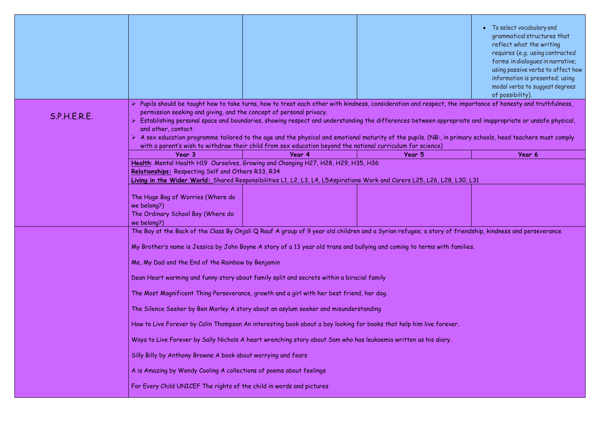| To select vocabulary and<br>grammatical structures that<br>reflect what the writing |
|-------------------------------------------------------------------------------------|
| requires (e.g. using contracted<br>forms in dialogues in narrative;                 |
| using passive verbs to affect how                                                   |
| information is presented; using                                                     |
| modal verbs to suggest degrees                                                      |
| of possibility).                                                                    |

he importance of honesty and truthfulness,

ppriate and inappropriate or unsafe physical,  $\overline{\phantom{a}}$ 

primary schools, head teachers must comply

 $f$  friendship, kindness and perseverance

|              |                                                                                                      |                                                                                            |                                                                                                                                                                                                                                                                                                                                                                                                                                                 | • To select vocabula                  |
|--------------|------------------------------------------------------------------------------------------------------|--------------------------------------------------------------------------------------------|-------------------------------------------------------------------------------------------------------------------------------------------------------------------------------------------------------------------------------------------------------------------------------------------------------------------------------------------------------------------------------------------------------------------------------------------------|---------------------------------------|
|              |                                                                                                      |                                                                                            |                                                                                                                                                                                                                                                                                                                                                                                                                                                 | grammatical struc<br>reflect what the |
|              |                                                                                                      |                                                                                            |                                                                                                                                                                                                                                                                                                                                                                                                                                                 | requires (e.g. usin                   |
|              |                                                                                                      |                                                                                            |                                                                                                                                                                                                                                                                                                                                                                                                                                                 | forms in dialogues                    |
|              |                                                                                                      |                                                                                            |                                                                                                                                                                                                                                                                                                                                                                                                                                                 | using passive verb                    |
|              |                                                                                                      |                                                                                            |                                                                                                                                                                                                                                                                                                                                                                                                                                                 | information is pres                   |
|              |                                                                                                      |                                                                                            |                                                                                                                                                                                                                                                                                                                                                                                                                                                 | modal verbs to sud                    |
|              |                                                                                                      |                                                                                            |                                                                                                                                                                                                                                                                                                                                                                                                                                                 | of possibility).                      |
| S.P.H.E.R.E. | and other, contact.                                                                                  | permission seeking and giving, and the concept of personal privacy.                        | > Pupils should be taught how to take turns, how to treat each other with kindness, consideration and respect, the importance of honesty and tr<br>Establishing personal space and boundaries, showing respect and understanding the differences between appropriate and inappropriate or uns<br>> A sex education programme tailored to the age and the physical and emotional maturity of the pupils. (NB:, in primary schools, head teachers |                                       |
|              |                                                                                                      |                                                                                            | with a parent's wish to withdraw their child from sex education beyond the national curriculum for science)                                                                                                                                                                                                                                                                                                                                     |                                       |
|              | Year 3                                                                                               | Year 4                                                                                     | Year 5                                                                                                                                                                                                                                                                                                                                                                                                                                          | Year 6                                |
|              | Relationships: Respecting Self and Others R33, R34                                                   | Health: Mental Health H19 Ourselves, Growing and Changing H27, H28, H29, H35, H36          | Living in the Wider World: Shared Responsibilities L1, L2, L3, L4, L5Aspirations Work and Carers L25, L26, L28, L30, L31                                                                                                                                                                                                                                                                                                                        |                                       |
|              | The Huge Bag of Worries (Where do<br>we belong?)<br>The Ordinary School Boy (Where do<br>we belong?) |                                                                                            |                                                                                                                                                                                                                                                                                                                                                                                                                                                 |                                       |
|              |                                                                                                      |                                                                                            | The Boy at the Back of the Class By Onjali Q Rauf A group of 9 year old children and a Syrian refugee; a story of friendship, kindness and perse                                                                                                                                                                                                                                                                                                |                                       |
|              |                                                                                                      |                                                                                            | My Brother's name is Jessica by John Boyne A story of a 13 year old trans and bullying and coming to terms with families.                                                                                                                                                                                                                                                                                                                       |                                       |
|              | Me, My Dad and the End of the Rainbow by Benjamin                                                    |                                                                                            |                                                                                                                                                                                                                                                                                                                                                                                                                                                 |                                       |
|              |                                                                                                      | Dean Heart warming and funny story about family split and secrets within a biracial family |                                                                                                                                                                                                                                                                                                                                                                                                                                                 |                                       |
|              |                                                                                                      | The Most Magnificent Thing Perseverance, growth and a girl with her best friend, her dog.  |                                                                                                                                                                                                                                                                                                                                                                                                                                                 |                                       |
|              |                                                                                                      | The Silence Seeker by Ben Morley A story about an asylum seeker and misunderstanding       |                                                                                                                                                                                                                                                                                                                                                                                                                                                 |                                       |
|              |                                                                                                      |                                                                                            | How to Live Forever by Colin Thompson An interesting book about a boy looking for books that help him live forever.                                                                                                                                                                                                                                                                                                                             |                                       |
|              |                                                                                                      |                                                                                            | Ways to Live Forever by Sally Nichols A heart wrenching story about Sam who has leukaemia written as his diary.                                                                                                                                                                                                                                                                                                                                 |                                       |
|              | Silly Billy by Anthony Browne A book about worrying and fears                                        |                                                                                            |                                                                                                                                                                                                                                                                                                                                                                                                                                                 |                                       |
|              | A is Amazing by Wendy Cooling A collections of poems about feelings                                  |                                                                                            |                                                                                                                                                                                                                                                                                                                                                                                                                                                 |                                       |
|              | For Every Child UNICEF The rights of the child in words and pictures                                 |                                                                                            |                                                                                                                                                                                                                                                                                                                                                                                                                                                 |                                       |
|              |                                                                                                      |                                                                                            |                                                                                                                                                                                                                                                                                                                                                                                                                                                 |                                       |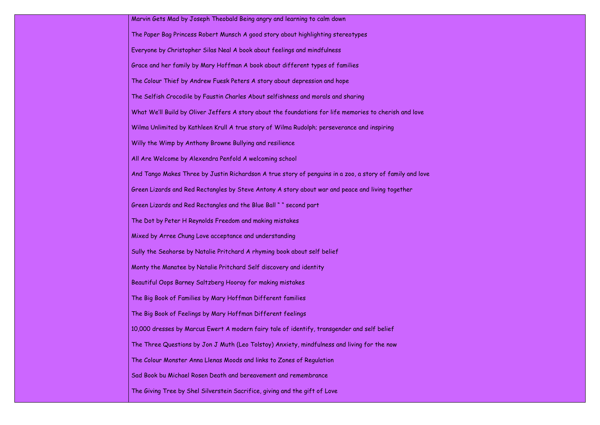Marvin Gets Mad by Joseph Theobald Being angry and learning to calm down The Paper Bag Princess Robert Munsch A good story about highlighting stereotypes Everyone by Christopher Silas Neal A book about feelings and mindfulness Grace and her family by Mary Hoffman A book about different types of families The Colour Thief by Andrew Fuesk Peters A story about depression and hope The Selfish Crocodile by Faustin Charles About selfishness and morals and sharing What We'll Build by Oliver Jeffers A story about the foundations for life memories to cherish and love Wilma Unlimited by Kathleen Krull A true story of Wilma Rudolph; perseverance and inspiring Willy the Wimp by Anthony Browne Bullying and resilience All Are Welcome by Alexendra Penfold A welcoming school And Tango Makes Three by Justin Richardson A true story of penguins in a zoo, a story of family and love Green Lizards and Red Rectangles by Steve Antony A story about war and peace and living together Green Lizards and Red Rectangles and the Blue Ball " " second part The Dot by Peter H Reynolds Freedom and making mistakes Mixed by Arree Chung Love acceptance and understanding Sully the Seahorse by Natalie Pritchard A rhyming book about self belief Monty the Manatee by Natalie Pritchard Self discovery and identity Beautiful Oops Barney Saltzberg Hooray for making mistakes The Big Book of Families by Mary Hoffman Different families The Big Book of Feelings by Mary Hoffman Different feelings 10,000 dresses by Marcus Ewert A modern fairy tale of identify, transgender and self belief The Three Questions by Jon J Muth (Leo Tolstoy) Anxiety, mindfulness and living for the now The Colour Monster Anna Llenas Moods and links to Zones of Regulation Sad Book bu Michael Rosen Death and bereavement and remembrance The Giving Tree by Shel Silverstein Sacrifice, giving and the gift of Love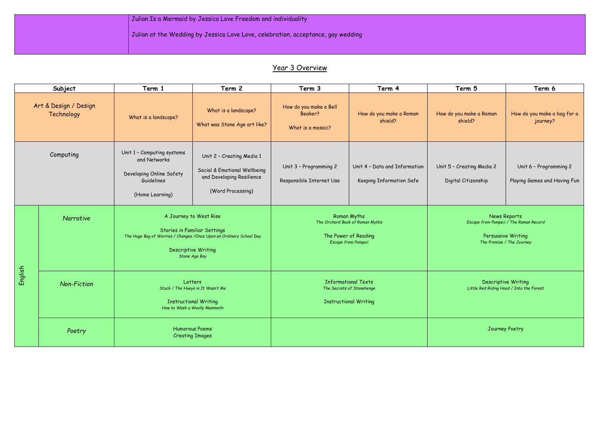|  | Julian Is a Mermaid by Jessica Love Freedom and individuality                    |
|--|----------------------------------------------------------------------------------|
|  | Julian at the Wedding by Jessica Love Love, celebration, acceptance, gay wedding |
|  |                                                                                  |

# Year 3 Overview

|         | Subject                             | Term 1                                                                                                                                                                               | Term 2                                                                                                      | Term 3                                                 | Term 4                                                                                               | Term 5                                           | Term 6                                                                                                    |
|---------|-------------------------------------|--------------------------------------------------------------------------------------------------------------------------------------------------------------------------------------|-------------------------------------------------------------------------------------------------------------|--------------------------------------------------------|------------------------------------------------------------------------------------------------------|--------------------------------------------------|-----------------------------------------------------------------------------------------------------------|
|         | Art & Design / Design<br>Technology | What is a landscape?                                                                                                                                                                 | What is a landscape?<br>What was Stone Age art like?                                                        | How do you make a Bell<br>Beaker?<br>What is a mosaic? | How do you make a Roman<br>shield?                                                                   | How do you make a Roman<br>shield?               | How do you make a bag for a<br>journey?                                                                   |
|         | Computing                           | Unit 1 - Computing systems<br>and Networks<br>Developing Online Safety<br>Guidelines<br>(Home Learning)                                                                              | Unit 2 - Creating Media 1<br>Social & Emotional Wellbeing<br>and Developing Resilience<br>(Word Processing) | Unit 3 - Programming 2<br>Responsible Internet Use     | Unit 4 - Data and Information<br>Keeping Information Safe                                            | Unit 5 - Creating Media 2<br>Digital Citizenship | Unit 6 - Programming 2<br>Playing Games and Having Fun                                                    |
| English | Narrative                           | A Journey to West Rise<br><b>Stories in Familiar Settings</b><br>The Huge Bag of Worries / Changes / Once Upon an Ordinary School Day<br><b>Descriptive Writing</b><br>Stone Age Boy |                                                                                                             |                                                        | <b>Roman Myths</b><br>The Orchard Book of Roman Myths<br>The Power of Reading<br>Escape from Pompeii |                                                  | News Reports<br>Escape from Pompeii / The Roman Record<br>Persuasive Writing<br>The Promise / The Journey |
|         | <b>Non-Fiction</b>                  | Letters<br>Stuck / The Hueys in It Wasn't Me<br><b>Instructional Writing</b><br>How to Wash a Woolly Mammoth                                                                         |                                                                                                             |                                                        | <b>Informational Texts</b><br>The Secrets of Stonehenge<br><b>Instructional Writing</b>              |                                                  | <b>Descriptive Writing</b><br>Little Red Riding Hood / Into the Forest                                    |
|         | Poetry                              | <b>Humorous Poems</b><br><b>Creating Images</b>                                                                                                                                      |                                                                                                             |                                                        |                                                                                                      |                                                  | Journey Poetry                                                                                            |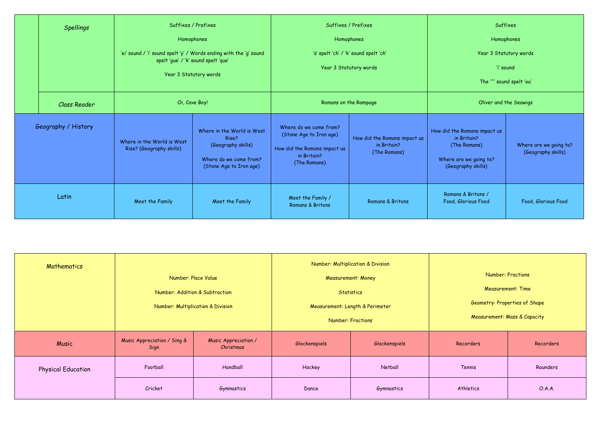| <b>Spellings</b>    | Suffixes / Prefixes<br>Homophones<br>'ei' sound / 'i' sound spelt 'y' / Words ending with the 'g' sound<br>spelt 'gue' / 'k' sound spelt 'que'<br>Year 3 Statutory words<br>Oi, Cave Boy! |                                                                                                                | Suffixes / Prefixes<br>Homophones<br>'s' spelt 'ch' / 'k' sound spelt 'ch'<br>Year 3 Statutory words             |                                                             | Suffixes<br>'i' sound<br>The '" sound spelt 'ou'                                                            | Homophones<br>Year 3 Statutory words         |
|---------------------|-------------------------------------------------------------------------------------------------------------------------------------------------------------------------------------------|----------------------------------------------------------------------------------------------------------------|------------------------------------------------------------------------------------------------------------------|-------------------------------------------------------------|-------------------------------------------------------------------------------------------------------------|----------------------------------------------|
| <b>Class Reader</b> |                                                                                                                                                                                           |                                                                                                                | Romans on the Rampage                                                                                            |                                                             | Oliver and the Seawigs                                                                                      |                                              |
| Geography / History | Where in the World is West<br>Rise? (Geography skills)                                                                                                                                    | Where in the World is West<br>Rise?<br>(Geography skills)<br>Where do we come from?<br>(Stone Age to Iron age) | Where do we come from?<br>(Stone Age to Iron age)<br>How did the Romans impact us<br>in Britain?<br>(The Romans) | How did the Romans impact us<br>in Britain?<br>(The Romans) | How did the Romans impact us<br>in Britain?<br>(The Romans)<br>Where are we going to?<br>(Geography skills) | Where are we going to?<br>(Geography skills) |
| Latin               | Meet the Family                                                                                                                                                                           | Meet the Family                                                                                                | Meet the Family /<br>Romans & Britons                                                                            | Romans & Britons                                            | Romans & Britons /<br>Food, Glorious Food                                                                   | Food, Glorious Food                          |

| <b>Number: Fractions</b>                |           |  |  |  |  |  |
|-----------------------------------------|-----------|--|--|--|--|--|
| <b>Measurement: Time</b>                |           |  |  |  |  |  |
| Geometry: Properties of Shape           |           |  |  |  |  |  |
| <b>Measurement: Mass &amp; Capacity</b> |           |  |  |  |  |  |
| corders                                 | Recorders |  |  |  |  |  |
| Tennis                                  | Rounders  |  |  |  |  |  |
| thletics                                | OAA       |  |  |  |  |  |

| Mathematics               |                                     | Number: Place Value<br>Number: Addition & Subtraction<br>Number: Multiplication & Division |               | Number: Multiplication & Division<br><b>Measurement: Money</b><br><b>Statistics</b><br>Measurement: Length & Perimeter<br><b>Number: Fractions</b> |           | <b>Number: Fractions</b><br><b>Measurement: Time</b><br>Geometry: Properties of Shape<br><b>Measurement: Mass &amp; Capacity</b> |
|---------------------------|-------------------------------------|--------------------------------------------------------------------------------------------|---------------|----------------------------------------------------------------------------------------------------------------------------------------------------|-----------|----------------------------------------------------------------------------------------------------------------------------------|
| Music                     | Music Appreciation / Sing &<br>Sign | Music Appreciation /<br>Christmas                                                          | Glockenspiels | Glockenspiels                                                                                                                                      | Recorders | Recorders                                                                                                                        |
| <b>Physical Education</b> | Football                            | Handball                                                                                   | Hockey        | Netball                                                                                                                                            | Tennis    | Rounders                                                                                                                         |
|                           | Cricket                             | Gymnastics                                                                                 | Dance         | Gymnastics                                                                                                                                         | Athletics | O.A.A.                                                                                                                           |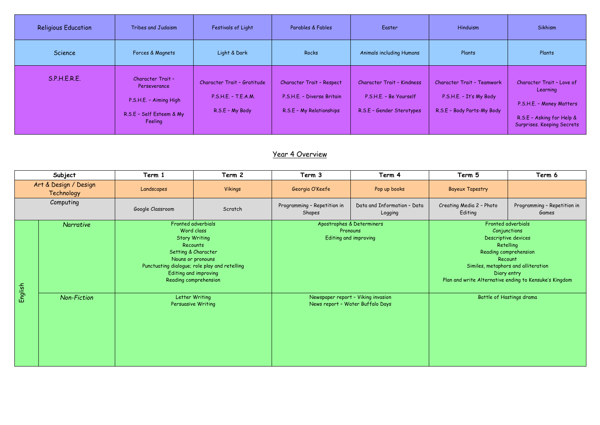| <b>Religious Education</b> | Tribes and Judaism                                                                                 | Festivals of Light                                                    | Parables & Fables                                                                          | Easter                                                                                   | Hinduism                                                                                   | Sikhism                                                                                                                      |
|----------------------------|----------------------------------------------------------------------------------------------------|-----------------------------------------------------------------------|--------------------------------------------------------------------------------------------|------------------------------------------------------------------------------------------|--------------------------------------------------------------------------------------------|------------------------------------------------------------------------------------------------------------------------------|
| Science                    | Forces & Magnets                                                                                   | Light & Dark                                                          | Rocks                                                                                      | <b>Animals including Humans</b>                                                          | Plants                                                                                     | Plants                                                                                                                       |
| S.P.H.E.R.E.               | Character Trait -<br>Perseverance<br>P.S.H.E. - Aiming High<br>R.S.E - Self Esteem & My<br>Feeling | Character Trait - Gratitude<br>P.S.H.E. - T.E.A.M.<br>R.S.E - My Body | <b>Character Trait - Respect</b><br>P.S.H.E. - Diverse Britain<br>R.S.E - My Relationships | <b>Character Trait - Kindness</b><br>P.S.H.E. - Be Yourself<br>R.S.E - Gender Sterotypes | <b>Character Trait - Teamwork</b><br>P.S.H.E. - It's My Body<br>R.S.E - Body Parts-My Body | Character Trait - Love of<br>Learning<br>P.S.H.E. - Money Matters<br>R.S.E - Asking for Help &<br>Surprises. Keeping Secrets |

## Year 4 Overview

|           | Subject                             | Term 1                                                                                                                                                                                                              | Term 2                                                                                                         | Term 3                                                         | Term 4                                 | Term 5                              | Term 6                                                                                                                                                                                                                     |
|-----------|-------------------------------------|---------------------------------------------------------------------------------------------------------------------------------------------------------------------------------------------------------------------|----------------------------------------------------------------------------------------------------------------|----------------------------------------------------------------|----------------------------------------|-------------------------------------|----------------------------------------------------------------------------------------------------------------------------------------------------------------------------------------------------------------------------|
|           | Art & Design / Design<br>Technology | Landscapes                                                                                                                                                                                                          | <b>Vikings</b>                                                                                                 | Georgia O'Keefe                                                | Pop up books                           | <b>Bayeux Tapestry</b>              |                                                                                                                                                                                                                            |
| Computing |                                     | Google Classroom                                                                                                                                                                                                    | Scratch                                                                                                        | Programming - Repetition in<br>Shapes                          | Data and Information - Data<br>Logging | Creating Media 2 - Photo<br>Editing | Programming - Repetition in<br>Games                                                                                                                                                                                       |
|           | Narrative                           | Fronted adverbials<br>Word class<br><b>Story Writing</b><br>Recounts<br>Setting & Character<br>Nouns or pronouns<br>Punctuating dialogue; role play and retelling<br>Editing and improving<br>Reading comprehension |                                                                                                                | Apostrophes & Determiners<br>Pronouns<br>Editing and improving |                                        |                                     | Fronted adverbials<br>Conjunctions<br>Descriptive devices<br>Retelling<br>Reading comprehension<br>Recount<br>Similes, metaphors and alliteration<br>Diary entry<br>Plan and write Alternative ending to Kensuke's Kingdom |
| English   | Non-Fiction                         |                                                                                                                                                                                                                     | Letter Writing<br>Newspaper report - Viking invasion<br>News report - Water Buffalo Days<br>Persuasive Writing |                                                                |                                        |                                     | <b>Battle of Hastings drama</b>                                                                                                                                                                                            |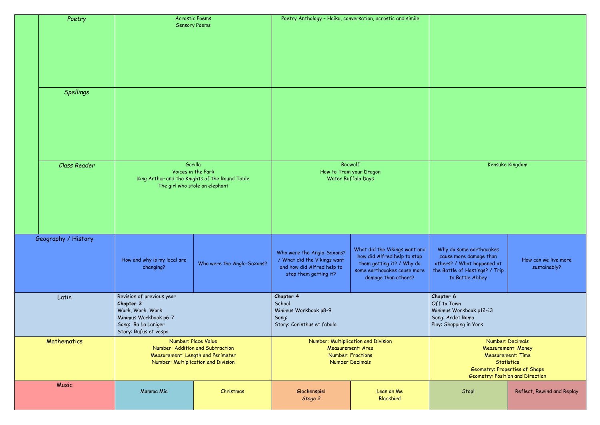### Kensuke Kingdom

o some earthqua<mark>kes</mark> cause more damage than others? / What happened at the Battle of Hastings? / Trip o Battle Abbey

| Poetry              | <b>Acrostic Poems</b><br>Poetry Anthology - Haiku, conversation, acrostic and simile<br><b>Sensory Poems</b>                                                                                                               |                                                                      |                                                                                                                       |                                                                                                                                                 |                                                        |
|---------------------|----------------------------------------------------------------------------------------------------------------------------------------------------------------------------------------------------------------------------|----------------------------------------------------------------------|-----------------------------------------------------------------------------------------------------------------------|-------------------------------------------------------------------------------------------------------------------------------------------------|--------------------------------------------------------|
| <b>Spellings</b>    |                                                                                                                                                                                                                            |                                                                      |                                                                                                                       |                                                                                                                                                 |                                                        |
| <b>Class Reader</b> | Gorilla<br>The girl who stole an elephant                                                                                                                                                                                  | Voices in the Park<br>King Arthur and the Knights of the Round Table |                                                                                                                       | Beowolf<br>How to Train your Dragon<br>Water Buffalo Days                                                                                       |                                                        |
| Geography / History | How and why is my local are<br>changing?                                                                                                                                                                                   | Who were the Anglo-Saxons?                                           | Who were the Anglo-Saxons?<br>/ What did the Vikings want<br>and how did Alfred help to<br>stop them getting it?      | What did the Vikings want and<br>how did Alfred help to stop<br>them getting it? / Why do<br>some earthquakes cause more<br>damage than others? | Why do s<br>cause m<br>others? /<br>the Battle<br>to B |
| Latin               | Revision of previous year<br>Chapter 4<br>School<br>Chapter 3<br>Work, Work, Work<br>Minimus Workbook p8-9<br>Minimus Workbook p6-7<br>Song:<br>Song: Ba La Laniger<br>Story: Corinthus et fabula<br>Story: Rufus et vespa |                                                                      |                                                                                                                       | Chapter 6<br>Off to Tow<br>Minimus Wo<br>Song: Arde<br>Play: Shopp                                                                              |                                                        |
| Mathematics         | Number: Place Value<br>Number: Addition and Subtraction<br>Measurement: Length and Perimeter<br>Number: Multiplication and Division                                                                                        |                                                                      | Number: Multiplication and Division<br><b>Measurement: Area</b><br><b>Number: Fractions</b><br><b>Number Decimals</b> |                                                                                                                                                 |                                                        |
| <b>Music</b>        | Mamma Mia                                                                                                                                                                                                                  | Christmas                                                            | Glockenspiel<br>Stage 2                                                                                               | Lean on Me<br><b>Blackbird</b>                                                                                                                  |                                                        |

How can we live more sustainably?

own Workbook p12-13 det Roma pping in York

> Number: Decimals Measurement: Money Measurement: Time **Statistics** Geometry: Properties of Shape Geometry: Position and Direction

Stop! Reflect, Rewind and Replay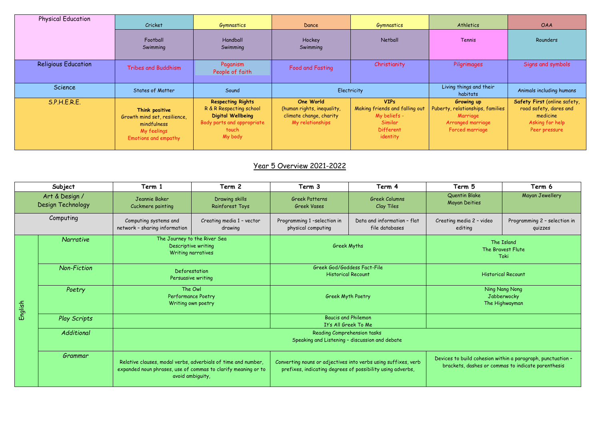| <b>Physical Education</b>  | Cricket                                                                                              | Gymnastics                                                                                                                        | Dance                                                                                  | Gymnastics                                                                                               | Athletics                                                                                          | <b>OAA</b>                                                                                             |
|----------------------------|------------------------------------------------------------------------------------------------------|-----------------------------------------------------------------------------------------------------------------------------------|----------------------------------------------------------------------------------------|----------------------------------------------------------------------------------------------------------|----------------------------------------------------------------------------------------------------|--------------------------------------------------------------------------------------------------------|
|                            | Football<br>Swimming                                                                                 | Handball<br>Swimming                                                                                                              | Hockey<br>Swimming                                                                     | Netball                                                                                                  | Tennis                                                                                             | Rounders                                                                                               |
| <b>Religious Education</b> | <b>Tribes and Buddhism</b>                                                                           | Paganism<br>People of faith                                                                                                       | Food and Fasting                                                                       | Christianity                                                                                             | Pilgrimages                                                                                        | Signs and symbols                                                                                      |
| Science                    | <b>States of Matter</b>                                                                              | Sound                                                                                                                             | Electricity                                                                            |                                                                                                          | Living things and their<br>habitats                                                                | Animals including humans                                                                               |
| S.P.H.E.R.E.               | Think positive<br>Growth mind set, resilience,<br>mindfulness<br>My feelings<br>Emotions and empathy | <b>Respecting Rights</b><br>R & R Respecting school<br><b>Digital Wellbeing</b><br>Body parts and appropriate<br>touch<br>My body | One World<br>(human rights, inequality,<br>climate change, charity<br>My relationships | <b>VIPs</b><br>Making friends and falling out<br>My beliefs -<br>Similar<br><b>Different</b><br>identity | Growing up<br>Puberty, relationships, families<br>Marriage<br>Arranged marriage<br>Forced marriage | Safety First (online safety,<br>road safety, dares and<br>medicine<br>Asking for help<br>Peer pressure |

# Year 5 Overview 2021-2022

|           | Subject                             | Term 1                                                                                                                                             | Term 2                                   | Term 3                                                                                                                       | Term 4                                        | Term 5                                | Term 6                                                                                                            |
|-----------|-------------------------------------|----------------------------------------------------------------------------------------------------------------------------------------------------|------------------------------------------|------------------------------------------------------------------------------------------------------------------------------|-----------------------------------------------|---------------------------------------|-------------------------------------------------------------------------------------------------------------------|
|           | Art & Design /<br>Design Technology | Jeannie Baker<br>Cuckmere painting                                                                                                                 | Drawing skills<br><b>Rainforest Toys</b> | <b>Greek Patterns</b><br><b>Greek Vases</b>                                                                                  | <b>Greek Columns</b><br><b>Clay Tiles</b>     | Quentin Blake<br><b>Mayan Deities</b> | Mayan Jewellery                                                                                                   |
| Computing |                                     | Computing systems and<br>network - sharing information                                                                                             | Creating media 1 - vector<br>drawing     | Programming 1-selection in<br>physical computing                                                                             | Data and information - flat<br>file databases | Creating media 2 - video<br>editing   | Programming 2 - selection in<br>quizzes                                                                           |
|           | Narrative                           | Descriptive writing<br>Writing narratives                                                                                                          |                                          | The Journey to the River Sea<br><b>Greek Myths</b>                                                                           |                                               |                                       | The Island<br>The Bravest Flute<br>Toki                                                                           |
|           | <b>Non-Fiction</b>                  | Deforestation<br>Persuasive writing                                                                                                                |                                          | Greek God/Goddess Fact-File<br><b>Historical Recount</b>                                                                     |                                               | <b>Historical Recount</b>             |                                                                                                                   |
| English   | Poetry                              | The Owl<br>Performance Poetry<br>Writing own poetry                                                                                                |                                          | Greek Myth Poetry                                                                                                            |                                               |                                       | Ning Nang Nong<br>Jabberwocky<br>The Highwayman                                                                   |
|           | <b>Play Scripts</b>                 |                                                                                                                                                    |                                          | <b>Baucis and Philemon</b><br>It's All Greek To Me                                                                           |                                               |                                       |                                                                                                                   |
|           | Additional                          |                                                                                                                                                    |                                          |                                                                                                                              |                                               |                                       |                                                                                                                   |
|           | Grammar                             | Relative clauses, modal verbs, adverbials of time and number,<br>expanded noun phrases, use of commas to clarify meaning or to<br>avoid ambiguity, |                                          | Converting nouns or adjectives into verbs using suffixes, verb<br>prefixes, indicating degrees of possibility using adverbs, |                                               |                                       | Devices to build cohesion within a paragraph, punctuation -<br>brackets, dashes or commas to indicate parenthesis |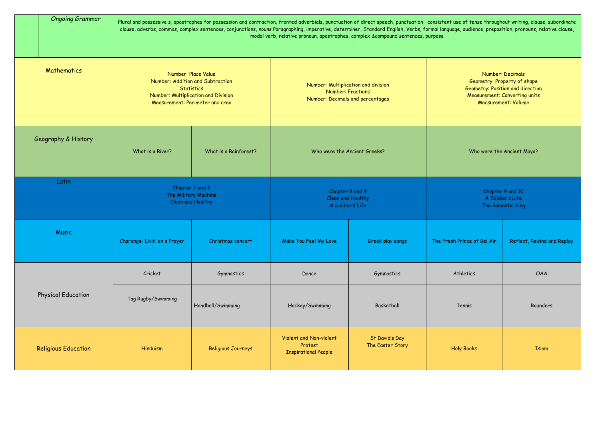| <b>Ongoing Grammar</b>                                                                                                                                                | Plural and possessive s, apostrophes for possession and contraction, fronted adverbials, punctuation of direct speech, punctuation, consistent use of tense throughout writing, clause, subordinate<br>clause, adverbs, commas, complex sentences, conjunctions, nouns Paragraphing, imperative, determiner, Standard English, Verbs, formal language, audience, preposition, pronouns, relative clause,<br>modal verb, relative pronoun, apostrophes, complex &compound sentences, purpose |                       |                                                                                                     |                                    |                                                                                                                                                                  |            |  |
|-----------------------------------------------------------------------------------------------------------------------------------------------------------------------|---------------------------------------------------------------------------------------------------------------------------------------------------------------------------------------------------------------------------------------------------------------------------------------------------------------------------------------------------------------------------------------------------------------------------------------------------------------------------------------------|-----------------------|-----------------------------------------------------------------------------------------------------|------------------------------------|------------------------------------------------------------------------------------------------------------------------------------------------------------------|------------|--|
| Mathematics<br>Number: Place Value<br>Number: Addition and Subtraction<br><b>Statistics</b><br>Number: Multiplication and Division<br>Measurement: Perimeter and area |                                                                                                                                                                                                                                                                                                                                                                                                                                                                                             |                       | Number: Multiplication and division<br><b>Number: Fractions</b><br>Number: Decimals and percentages |                                    | <b>Number: Decimals</b><br>Geometry: Property of shape<br>Geometry: Position and direction<br><b>Measurement: Converting units</b><br><b>Measurement: Volume</b> |            |  |
| Geography & History                                                                                                                                                   | What is a River?                                                                                                                                                                                                                                                                                                                                                                                                                                                                            | What is a Rainforest? | Who were the Ancient Greeks?                                                                        |                                    | Who were the Ancient Maya?                                                                                                                                       |            |  |
| Latin                                                                                                                                                                 | Chapter 7 and 8<br>The Military Machine<br>Clean and Healthy                                                                                                                                                                                                                                                                                                                                                                                                                                |                       | Chapter 8 and 9<br>Clean and Healthy<br>A Soldier's Life                                            |                                    | Chapter 9 and 10<br>A Soldier's Life<br>The Romantic Ring                                                                                                        |            |  |
| <b>Music</b>                                                                                                                                                          | Charanga-Livin' on a Prayer                                                                                                                                                                                                                                                                                                                                                                                                                                                                 | Christmas concert     | Make You Feel My Love                                                                               | Greek play songs                   | The Fresh Prince of Bel Air   Reflect, Rewind and Replay                                                                                                         |            |  |
|                                                                                                                                                                       | Cricket                                                                                                                                                                                                                                                                                                                                                                                                                                                                                     | Gymnastics            | Dance                                                                                               | Gymnastics                         | Athletics                                                                                                                                                        | <b>OAA</b> |  |
| <b>Physical Education</b>                                                                                                                                             | Tag Rugby/Swimming                                                                                                                                                                                                                                                                                                                                                                                                                                                                          | Handball/Swimming     | Hockey/Swimming                                                                                     | Basketball                         | Tennis                                                                                                                                                           | Rounders   |  |
| <b>Religious Education</b>                                                                                                                                            | Hinduism                                                                                                                                                                                                                                                                                                                                                                                                                                                                                    | Religious Journeys    | Violent and Non-violent<br>Protest<br><b>Inspirational People</b>                                   | St David's Day<br>The Easter Story | <b>Holy Books</b>                                                                                                                                                | Islam      |  |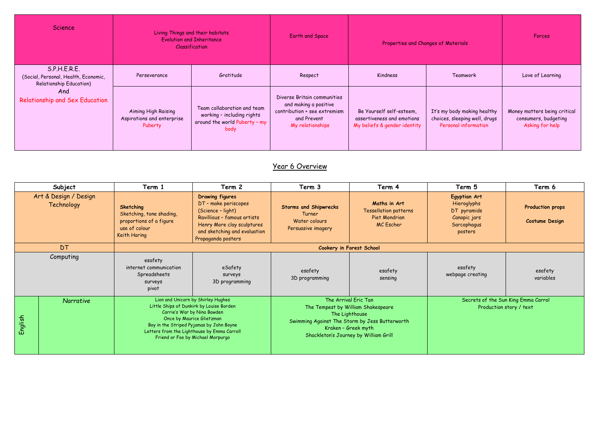| Science                                                                                | Living Things and their habitats<br><b>Evolution and Inheritance</b><br><b>Classification</b> |                                                                                                    | <b>Earth and Space</b>                                                                                                  | Properties and Changes of Materials                                                    |                                                                                      | <b>Forces</b>                                                           |
|----------------------------------------------------------------------------------------|-----------------------------------------------------------------------------------------------|----------------------------------------------------------------------------------------------------|-------------------------------------------------------------------------------------------------------------------------|----------------------------------------------------------------------------------------|--------------------------------------------------------------------------------------|-------------------------------------------------------------------------|
| S.P.H.E.R.E.<br>(Social, Personal, Health, Economic,<br><b>Relationship Education)</b> | Perseverance                                                                                  | Gratitude                                                                                          | Respect                                                                                                                 | Kindness                                                                               | Teamwork                                                                             | Love of Learning                                                        |
| And<br><b>Relationship and Sex Education</b>                                           | Aiming High Raising<br>Aspirations and enterprise<br>Puberty                                  | Team collaboration and team<br>working - including rights<br>around the world Puberty - my<br>body | Diverse Britain communities<br>and making a positive<br>contribution + see extremism<br>and Prevent<br>My relationships | Be Yourself self-esteem,<br>assertiveness and emotions<br>My beliefs & gender identity | It's my body making healthy<br>choices, sleeping well, drugs<br>Personal information | Money matters being critical<br>consumers, budgeting<br>Asking for help |

## Year 6 Overview

|         | Subject                             | Term 1                                                                                                                                                                                                                                                                     | Term 2                                                                                                                                                                                 | Term 3                                                                                                                                                                                         | Term 4                                                                     | Term 5                                                                                      | Term 6                                           |
|---------|-------------------------------------|----------------------------------------------------------------------------------------------------------------------------------------------------------------------------------------------------------------------------------------------------------------------------|----------------------------------------------------------------------------------------------------------------------------------------------------------------------------------------|------------------------------------------------------------------------------------------------------------------------------------------------------------------------------------------------|----------------------------------------------------------------------------|---------------------------------------------------------------------------------------------|--------------------------------------------------|
|         | Art & Design / Design<br>Technology | Sketching<br>Sketching, tone shading,<br>proportions of a figure<br>use of colour<br>Keith Haring                                                                                                                                                                          | <b>Drawing figures</b><br>DT - make periscopes<br>(Science - light)<br>Ravillious - famous artists<br>Henry More clay sculptures<br>and sketching and evaluation<br>Propaganda posters | <b>Storms and Shipwrecks</b><br>Turner<br>Water colours<br>Persuasive imagery                                                                                                                  | Maths in Art<br><b>Tessellation patterns</b><br>Piet Mondrian<br>MC Escher | <b>Egyptian Art</b><br>Hieroglyphs<br>DT pyramids<br>Canopic jars<br>Sarcophagus<br>posters | <b>Production props</b><br><b>Costume Design</b> |
|         | DT                                  | Cookery in Forest School                                                                                                                                                                                                                                                   |                                                                                                                                                                                        |                                                                                                                                                                                                |                                                                            |                                                                                             |                                                  |
|         | Computing                           | esafety<br>internet communication<br>Spreadsheets<br>surveys<br>pivot                                                                                                                                                                                                      | eSafety<br><b>SULVEYS</b><br>3D programming                                                                                                                                            | esafety<br>3D programming                                                                                                                                                                      | esafety<br>sensing                                                         | esafety<br>webpage creating                                                                 | esafety<br>variables                             |
| English | Narrative                           | Lion and Unicorn by Shirley Hughes<br>Little Ships of Dunkirk by Louise Borden<br>Carrie's War by Nina Bawden<br>Once by Maurice Glietzman<br>Boy in the Striped Pyjamas by John Boyne<br>Letters from the Lighthouse by Emma Carroll<br>Friend or Foe by Michael Morpurgo |                                                                                                                                                                                        | The Arrival Eric Tan<br>The Tempest by William Shakespeare<br>The Lighthouse<br>Swimming Against The Storm by Jess Butterworth<br>Kraken - Greek myth<br>Shackleton's Journey by William Grill |                                                                            | Secrets of the Sun King Emma Carrol<br>Production story / text                              |                                                  |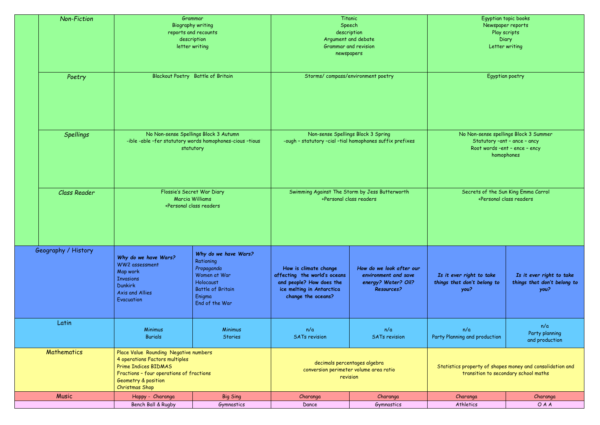|                                                                                                                                                                                                                          | <b>Non-Fiction</b>  | Grammar<br><b>Biography writing</b><br>reports and recounts<br>description<br>letter writing<br>Blackout Poetry Battle of Britain |                                                                                                                                                                                         | Titanic<br>Speech<br>description<br>Argument and debate<br><b>Grammar and revision</b><br>newspapers<br>Storms/compass/environment poetry |                                                                                              | Egyptian topic books<br>Newspaper reports<br>Play scripts<br>Diary<br>Letter writing<br>Egyptian poetry                                                                                 |                                                                 |
|--------------------------------------------------------------------------------------------------------------------------------------------------------------------------------------------------------------------------|---------------------|-----------------------------------------------------------------------------------------------------------------------------------|-----------------------------------------------------------------------------------------------------------------------------------------------------------------------------------------|-------------------------------------------------------------------------------------------------------------------------------------------|----------------------------------------------------------------------------------------------|-----------------------------------------------------------------------------------------------------------------------------------------------------------------------------------------|-----------------------------------------------------------------|
|                                                                                                                                                                                                                          | Poetry              |                                                                                                                                   |                                                                                                                                                                                         |                                                                                                                                           |                                                                                              |                                                                                                                                                                                         |                                                                 |
| No Non-sense Spellings Block 3 Autumn<br><b>Spellings</b><br>-ible -able -fer statutory words homophones-cious -tious<br>statutory                                                                                       |                     |                                                                                                                                   |                                                                                                                                                                                         | Non-sense Spellings Block 3 Spring<br>-ough - statutory -cial -tial homophones suffix prefixes                                            |                                                                                              | No Non-sense spellings Block 3 Summer<br>Statutory - ant - ance - ancy<br>Root words -ent - ence - ency<br>homophones<br>Secrets of the Sun King Emma Carrol<br>+Personal class readers |                                                                 |
|                                                                                                                                                                                                                          | <b>Class Reader</b> | Flossie's Secret War Diary<br>Marcia Williams<br>+Personal class readers                                                          |                                                                                                                                                                                         | Swimming Against The Storm by Jess Butterworth<br>+Personal class readers                                                                 |                                                                                              |                                                                                                                                                                                         |                                                                 |
|                                                                                                                                                                                                                          | Geography / History | Why do we have Wars?<br>WW2 assessment<br>Map work<br><b>Invasions</b><br><b>Dunkirk</b><br>Axis and Allies<br>Evacuation         | Why do we have Wars?<br>Rationing<br>Propaganda<br>Women at War<br>Holocaust<br><b>Battle of Britain</b><br>Enigma<br>End of the War                                                    | How is climate change<br>affecting the world's oceans<br>and people? How does the<br>ice melting in Antarctica<br>change the oceans?      | How do we look after our<br>environment and save<br>energy? Water? Oil?<br><b>Resources?</b> | Is it ever right to take<br>things that don't belong to<br>you?                                                                                                                         | Is it ever right to take<br>things that don't belong to<br>you? |
| Latin                                                                                                                                                                                                                    |                     | Minimus<br><b>Burials</b>                                                                                                         | <b>Minimus</b><br><b>Stories</b>                                                                                                                                                        | n/a<br><b>SATs revision</b>                                                                                                               | n/a<br><b>SATs revision</b>                                                                  | n/a<br>Party Planning and production                                                                                                                                                    | n/a<br>Party planning<br>and production                         |
| <b>Mathematics</b><br>Place Value Rounding Negative numbers<br>4 operations Factors multiples<br><b>Prime Indices BIDMAS</b><br>Fractions - four operations of fractions<br>Geometry & position<br><b>Christmas Shop</b> |                     |                                                                                                                                   | decimals percentages algebra<br>Statistics property of shapes money and consolidation and<br>conversion perimeter volume area ratio<br>transition to secondary school maths<br>revision |                                                                                                                                           |                                                                                              |                                                                                                                                                                                         |                                                                 |
|                                                                                                                                                                                                                          | <b>Music</b>        | Happy - Charanga                                                                                                                  | <b>Big Sing</b>                                                                                                                                                                         | Charanga                                                                                                                                  | Charanga                                                                                     | Charanga                                                                                                                                                                                | Charanga                                                        |
|                                                                                                                                                                                                                          |                     | Bench Ball & Rugby                                                                                                                | Gymnastics                                                                                                                                                                              | Dance                                                                                                                                     | Gymnastics                                                                                   | Athletics                                                                                                                                                                               | OAA                                                             |

| Egyptian topic books |
|----------------------|
| Newspaper reports    |
| Play scripts         |
| Diary                |
| Letter writing       |